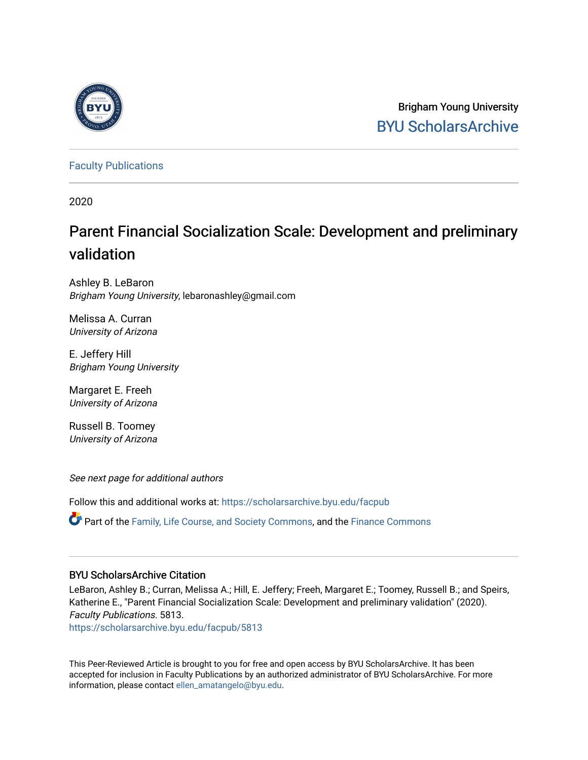

Brigham Young University [BYU ScholarsArchive](https://scholarsarchive.byu.edu/) 

[Faculty Publications](https://scholarsarchive.byu.edu/facpub)

2020

# Parent Financial Socialization Scale: Development and preliminary validation

Ashley B. LeBaron Brigham Young University, lebaronashley@gmail.com

Melissa A. Curran University of Arizona

E. Jeffery Hill Brigham Young University

Margaret E. Freeh University of Arizona

Russell B. Toomey University of Arizona

See next page for additional authors

Follow this and additional works at: [https://scholarsarchive.byu.edu/facpub](https://scholarsarchive.byu.edu/facpub?utm_source=scholarsarchive.byu.edu%2Ffacpub%2F5813&utm_medium=PDF&utm_campaign=PDFCoverPages) 

Part of the [Family, Life Course, and Society Commons,](http://network.bepress.com/hgg/discipline/419?utm_source=scholarsarchive.byu.edu%2Ffacpub%2F5813&utm_medium=PDF&utm_campaign=PDFCoverPages) and the [Finance Commons](http://network.bepress.com/hgg/discipline/345?utm_source=scholarsarchive.byu.edu%2Ffacpub%2F5813&utm_medium=PDF&utm_campaign=PDFCoverPages)

# BYU ScholarsArchive Citation

LeBaron, Ashley B.; Curran, Melissa A.; Hill, E. Jeffery; Freeh, Margaret E.; Toomey, Russell B.; and Speirs, Katherine E., "Parent Financial Socialization Scale: Development and preliminary validation" (2020). Faculty Publications. 5813.

[https://scholarsarchive.byu.edu/facpub/5813](https://scholarsarchive.byu.edu/facpub/5813?utm_source=scholarsarchive.byu.edu%2Ffacpub%2F5813&utm_medium=PDF&utm_campaign=PDFCoverPages)

This Peer-Reviewed Article is brought to you for free and open access by BYU ScholarsArchive. It has been accepted for inclusion in Faculty Publications by an authorized administrator of BYU ScholarsArchive. For more information, please contact [ellen\\_amatangelo@byu.edu.](mailto:ellen_amatangelo@byu.edu)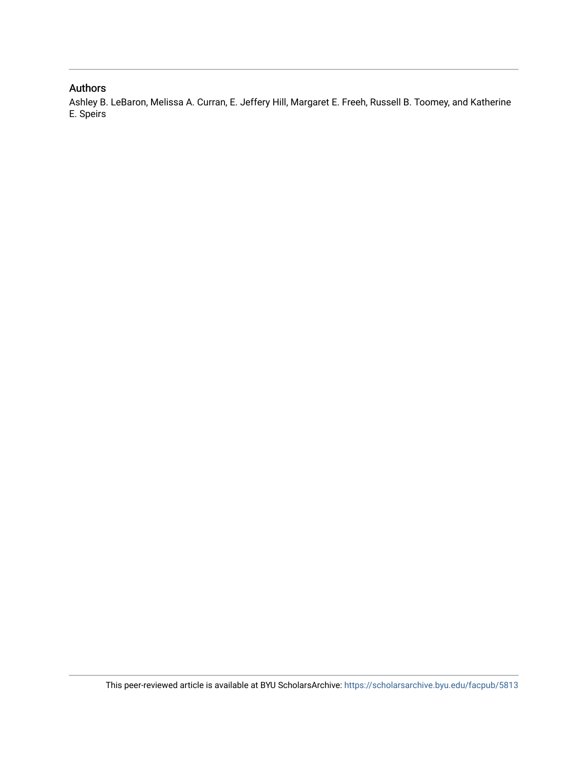# Authors

Ashley B. LeBaron, Melissa A. Curran, E. Jeffery Hill, Margaret E. Freeh, Russell B. Toomey, and Katherine E. Speirs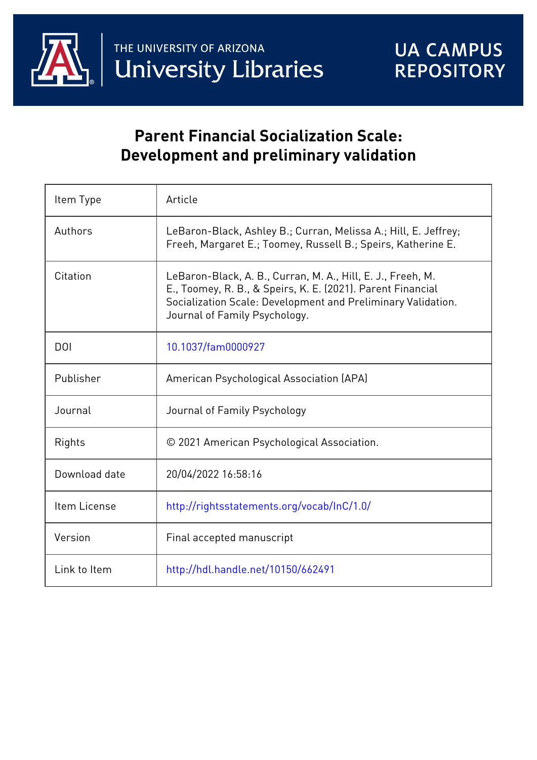

# **Parent Financial Socialization Scale: Development and preliminary validation**

| Item Type        | Article                                                                                                                                                                                                                     |
|------------------|-----------------------------------------------------------------------------------------------------------------------------------------------------------------------------------------------------------------------------|
| Authors          | LeBaron-Black, Ashley B.; Curran, Melissa A.; Hill, E. Jeffrey;<br>Freeh, Margaret E.; Toomey, Russell B.; Speirs, Katherine E.                                                                                             |
| Citation         | LeBaron-Black, A. B., Curran, M. A., Hill, E. J., Freeh, M.<br>E., Toomey, R. B., & Speirs, K. E. (2021). Parent Financial<br>Socialization Scale: Development and Preliminary Validation.<br>Journal of Family Psychology. |
| D <sub>O</sub> I | 10.1037/fam0000927                                                                                                                                                                                                          |
| Publisher        | American Psychological Association (APA)                                                                                                                                                                                    |
| Journal          | Journal of Family Psychology                                                                                                                                                                                                |
| Rights           | © 2021 American Psychological Association.                                                                                                                                                                                  |
| Download date    | 20/04/2022 16:58:16                                                                                                                                                                                                         |
| Item License     | http://rightsstatements.org/vocab/InC/1.0/                                                                                                                                                                                  |
| Version          | Final accepted manuscript                                                                                                                                                                                                   |
| Link to Item     | http://hdl.handle.net/10150/662491                                                                                                                                                                                          |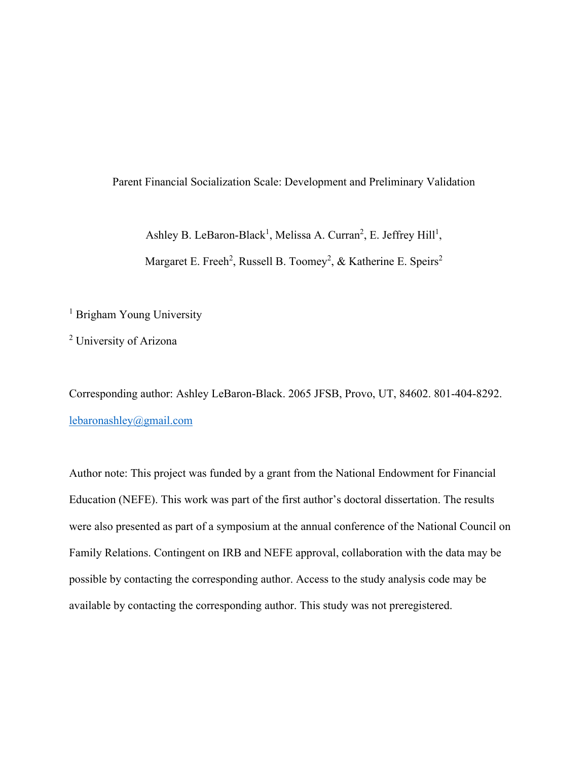# Parent Financial Socialization Scale: Development and Preliminary Validation

Ashley B. LeBaron-Black<sup>1</sup>, Melissa A. Curran<sup>2</sup>, E. Jeffrey Hill<sup>1</sup>,

Margaret E. Freeh<sup>2</sup>, Russell B. Toomey<sup>2</sup>, & Katherine E. Speirs<sup>2</sup>

<sup>1</sup> Brigham Young University

<sup>2</sup> University of Arizona

Corresponding author: Ashley LeBaron-Black. 2065 JFSB, Provo, UT, 84602. 801-404-8292. [lebaronashley@gmail.com](mailto:lebaronashley@gmail.com)

Author note: This project was funded by a grant from the National Endowment for Financial Education (NEFE). This work was part of the first author's doctoral dissertation. The results were also presented as part of a symposium at the annual conference of the National Council on Family Relations. Contingent on IRB and NEFE approval, collaboration with the data may be possible by contacting the corresponding author. Access to the study analysis code may be available by contacting the corresponding author. This study was not preregistered.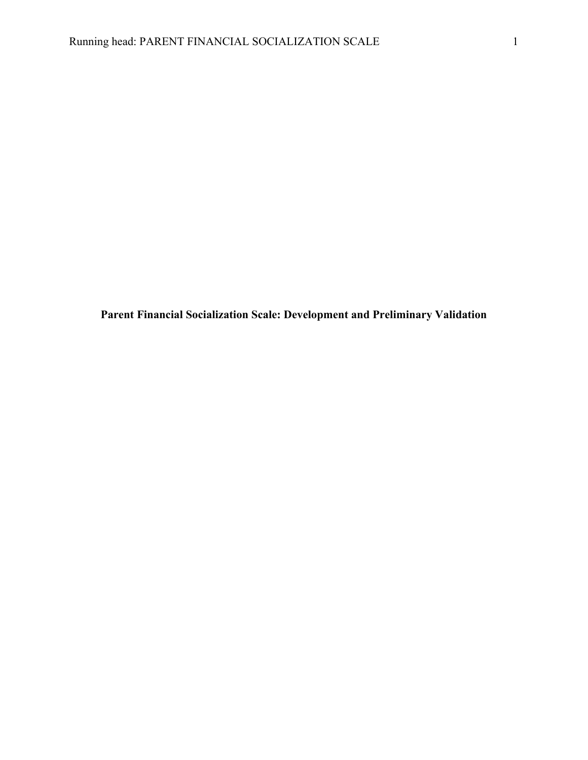**Parent Financial Socialization Scale: Development and Preliminary Validation**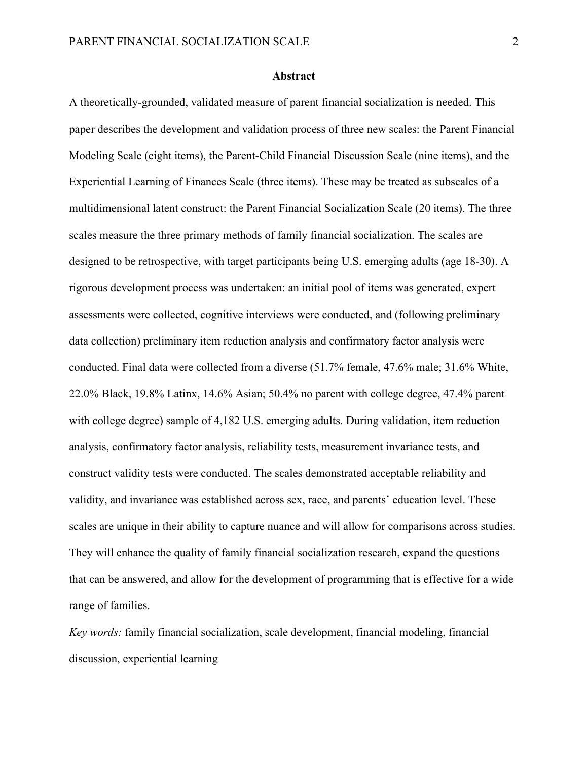#### **Abstract**

A theoretically-grounded, validated measure of parent financial socialization is needed. This paper describes the development and validation process of three new scales: the Parent Financial Modeling Scale (eight items), the Parent-Child Financial Discussion Scale (nine items), and the Experiential Learning of Finances Scale (three items). These may be treated as subscales of a multidimensional latent construct: the Parent Financial Socialization Scale (20 items). The three scales measure the three primary methods of family financial socialization. The scales are designed to be retrospective, with target participants being U.S. emerging adults (age 18-30). A rigorous development process was undertaken: an initial pool of items was generated, expert assessments were collected, cognitive interviews were conducted, and (following preliminary data collection) preliminary item reduction analysis and confirmatory factor analysis were conducted. Final data were collected from a diverse (51.7% female, 47.6% male; 31.6% White, 22.0% Black, 19.8% Latinx, 14.6% Asian; 50.4% no parent with college degree, 47.4% parent with college degree) sample of 4,182 U.S. emerging adults. During validation, item reduction analysis, confirmatory factor analysis, reliability tests, measurement invariance tests, and construct validity tests were conducted. The scales demonstrated acceptable reliability and validity, and invariance was established across sex, race, and parents' education level. These scales are unique in their ability to capture nuance and will allow for comparisons across studies. They will enhance the quality of family financial socialization research, expand the questions that can be answered, and allow for the development of programming that is effective for a wide range of families.

*Key words:* family financial socialization, scale development, financial modeling, financial discussion, experiential learning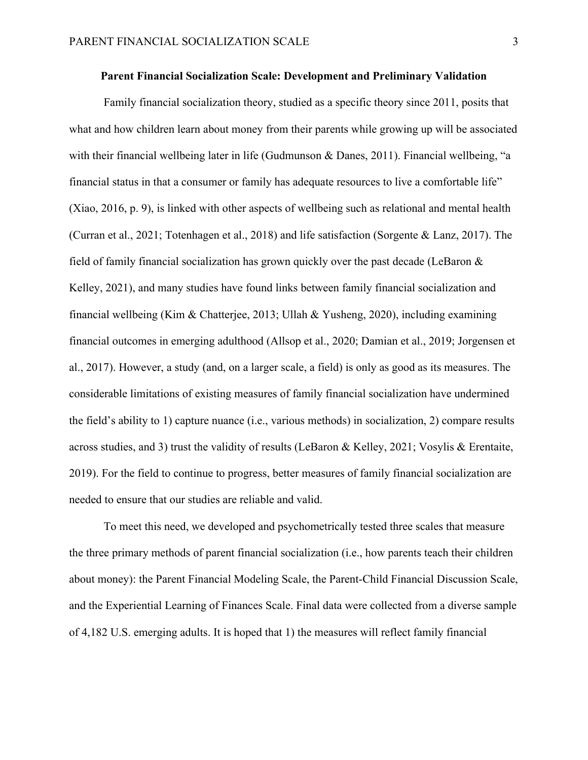# **Parent Financial Socialization Scale: Development and Preliminary Validation**

Family financial socialization theory, studied as a specific theory since 2011, posits that what and how children learn about money from their parents while growing up will be associated with their financial wellbeing later in life (Gudmunson & Danes, 2011). Financial wellbeing, "a financial status in that a consumer or family has adequate resources to live a comfortable life" (Xiao, 2016, p. 9), is linked with other aspects of wellbeing such as relational and mental health (Curran et al., 2021; Totenhagen et al., 2018) and life satisfaction (Sorgente & Lanz, 2017). The field of family financial socialization has grown quickly over the past decade (LeBaron & Kelley, 2021), and many studies have found links between family financial socialization and financial wellbeing (Kim & Chatterjee, 2013; Ullah & Yusheng, 2020), including examining financial outcomes in emerging adulthood (Allsop et al., 2020; Damian et al., 2019; Jorgensen et al., 2017). However, a study (and, on a larger scale, a field) is only as good as its measures. The considerable limitations of existing measures of family financial socialization have undermined the field's ability to 1) capture nuance (i.e., various methods) in socialization, 2) compare results across studies, and 3) trust the validity of results (LeBaron & Kelley, 2021; Vosylis & Erentaite, 2019). For the field to continue to progress, better measures of family financial socialization are needed to ensure that our studies are reliable and valid.

To meet this need, we developed and psychometrically tested three scales that measure the three primary methods of parent financial socialization (i.e., how parents teach their children about money): the Parent Financial Modeling Scale, the Parent-Child Financial Discussion Scale, and the Experiential Learning of Finances Scale. Final data were collected from a diverse sample of 4,182 U.S. emerging adults. It is hoped that 1) the measures will reflect family financial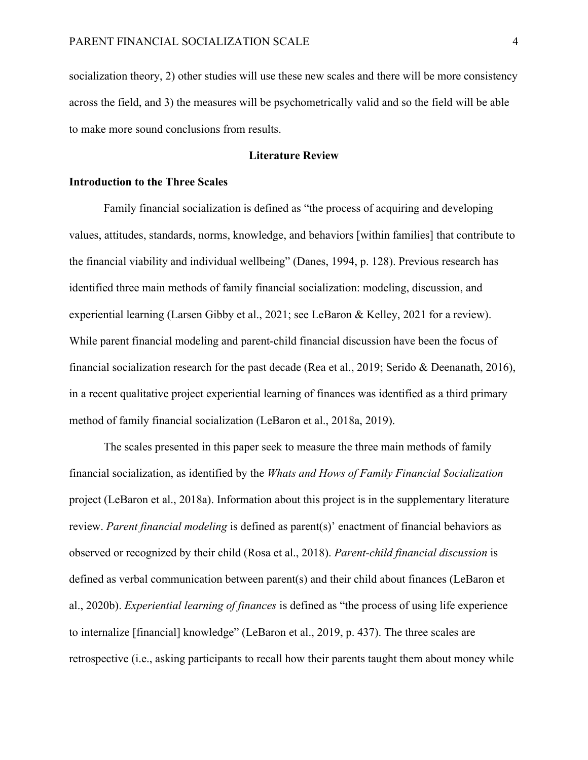socialization theory, 2) other studies will use these new scales and there will be more consistency across the field, and 3) the measures will be psychometrically valid and so the field will be able to make more sound conclusions from results.

# **Literature Review**

# **Introduction to the Three Scales**

Family financial socialization is defined as "the process of acquiring and developing values, attitudes, standards, norms, knowledge, and behaviors [within families] that contribute to the financial viability and individual wellbeing" (Danes, 1994, p. 128). Previous research has identified three main methods of family financial socialization: modeling, discussion, and experiential learning (Larsen Gibby et al., 2021; see LeBaron & Kelley, 2021 for a review). While parent financial modeling and parent-child financial discussion have been the focus of financial socialization research for the past decade (Rea et al., 2019; Serido & Deenanath, 2016), in a recent qualitative project experiential learning of finances was identified as a third primary method of family financial socialization (LeBaron et al., 2018a, 2019).

The scales presented in this paper seek to measure the three main methods of family financial socialization, as identified by the *Whats and Hows of Family Financial \$ocialization* project (LeBaron et al., 2018a). Information about this project is in the supplementary literature review. *Parent financial modeling* is defined as parent(s)' enactment of financial behaviors as observed or recognized by their child (Rosa et al., 2018). *Parent-child financial discussion* is defined as verbal communication between parent(s) and their child about finances (LeBaron et al., 2020b). *Experiential learning of finances* is defined as "the process of using life experience to internalize [financial] knowledge" (LeBaron et al., 2019, p. 437). The three scales are retrospective (i.e., asking participants to recall how their parents taught them about money while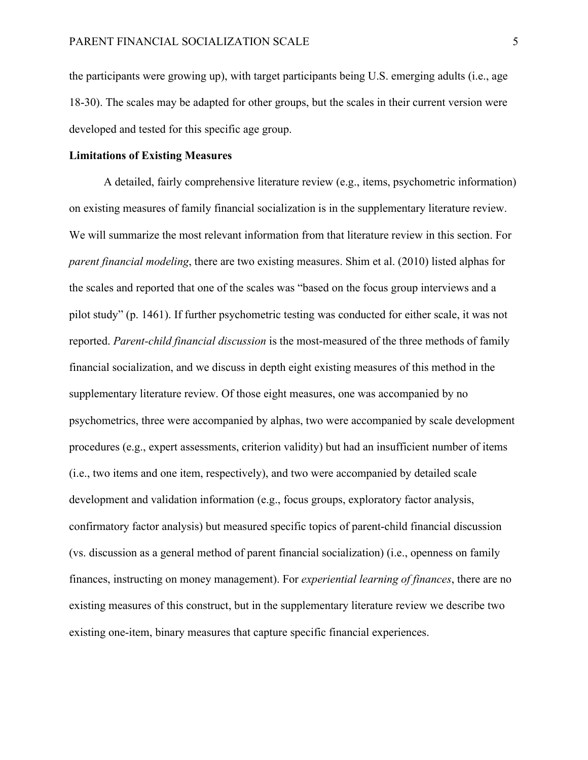the participants were growing up), with target participants being U.S. emerging adults (i.e., age 18-30). The scales may be adapted for other groups, but the scales in their current version were developed and tested for this specific age group.

# **Limitations of Existing Measures**

A detailed, fairly comprehensive literature review (e.g., items, psychometric information) on existing measures of family financial socialization is in the supplementary literature review. We will summarize the most relevant information from that literature review in this section. For *parent financial modeling*, there are two existing measures. Shim et al. (2010) listed alphas for the scales and reported that one of the scales was "based on the focus group interviews and a pilot study" (p. 1461). If further psychometric testing was conducted for either scale, it was not reported. *Parent-child financial discussion* is the most-measured of the three methods of family financial socialization, and we discuss in depth eight existing measures of this method in the supplementary literature review. Of those eight measures, one was accompanied by no psychometrics, three were accompanied by alphas, two were accompanied by scale development procedures (e.g., expert assessments, criterion validity) but had an insufficient number of items (i.e., two items and one item, respectively), and two were accompanied by detailed scale development and validation information (e.g., focus groups, exploratory factor analysis, confirmatory factor analysis) but measured specific topics of parent-child financial discussion (vs. discussion as a general method of parent financial socialization) (i.e., openness on family finances, instructing on money management). For *experiential learning of finances*, there are no existing measures of this construct, but in the supplementary literature review we describe two existing one-item, binary measures that capture specific financial experiences.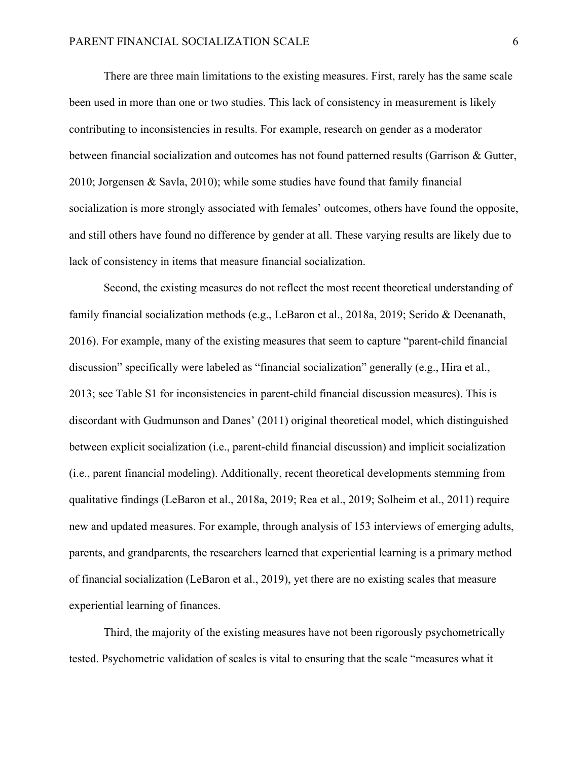There are three main limitations to the existing measures. First, rarely has the same scale been used in more than one or two studies. This lack of consistency in measurement is likely contributing to inconsistencies in results. For example, research on gender as a moderator between financial socialization and outcomes has not found patterned results (Garrison & Gutter, 2010; Jorgensen & Savla, 2010); while some studies have found that family financial socialization is more strongly associated with females' outcomes, others have found the opposite, and still others have found no difference by gender at all. These varying results are likely due to lack of consistency in items that measure financial socialization.

Second, the existing measures do not reflect the most recent theoretical understanding of family financial socialization methods (e.g., LeBaron et al., 2018a, 2019; Serido & Deenanath, 2016). For example, many of the existing measures that seem to capture "parent-child financial discussion" specifically were labeled as "financial socialization" generally (e.g., Hira et al., 2013; see Table S1 for inconsistencies in parent-child financial discussion measures). This is discordant with Gudmunson and Danes' (2011) original theoretical model, which distinguished between explicit socialization (i.e., parent-child financial discussion) and implicit socialization (i.e., parent financial modeling). Additionally, recent theoretical developments stemming from qualitative findings (LeBaron et al., 2018a, 2019; Rea et al., 2019; Solheim et al., 2011) require new and updated measures. For example, through analysis of 153 interviews of emerging adults, parents, and grandparents, the researchers learned that experiential learning is a primary method of financial socialization (LeBaron et al., 2019), yet there are no existing scales that measure experiential learning of finances.

Third, the majority of the existing measures have not been rigorously psychometrically tested. Psychometric validation of scales is vital to ensuring that the scale "measures what it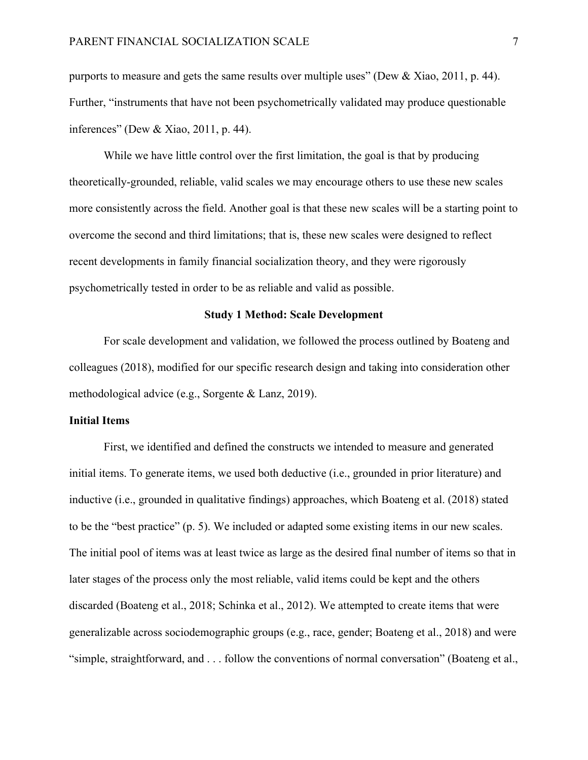purports to measure and gets the same results over multiple uses" (Dew & Xiao, 2011, p. 44). Further, "instruments that have not been psychometrically validated may produce questionable inferences" (Dew & Xiao, 2011, p. 44).

While we have little control over the first limitation, the goal is that by producing theoretically-grounded, reliable, valid scales we may encourage others to use these new scales more consistently across the field. Another goal is that these new scales will be a starting point to overcome the second and third limitations; that is, these new scales were designed to reflect recent developments in family financial socialization theory, and they were rigorously psychometrically tested in order to be as reliable and valid as possible.

# **Study 1 Method: Scale Development**

For scale development and validation, we followed the process outlined by Boateng and colleagues (2018), modified for our specific research design and taking into consideration other methodological advice (e.g., Sorgente & Lanz, 2019).

# **Initial Items**

First, we identified and defined the constructs we intended to measure and generated initial items. To generate items, we used both deductive (i.e., grounded in prior literature) and inductive (i.e., grounded in qualitative findings) approaches, which Boateng et al. (2018) stated to be the "best practice" (p. 5). We included or adapted some existing items in our new scales. The initial pool of items was at least twice as large as the desired final number of items so that in later stages of the process only the most reliable, valid items could be kept and the others discarded (Boateng et al., 2018; Schinka et al., 2012). We attempted to create items that were generalizable across sociodemographic groups (e.g., race, gender; Boateng et al., 2018) and were "simple, straightforward, and . . . follow the conventions of normal conversation" (Boateng et al.,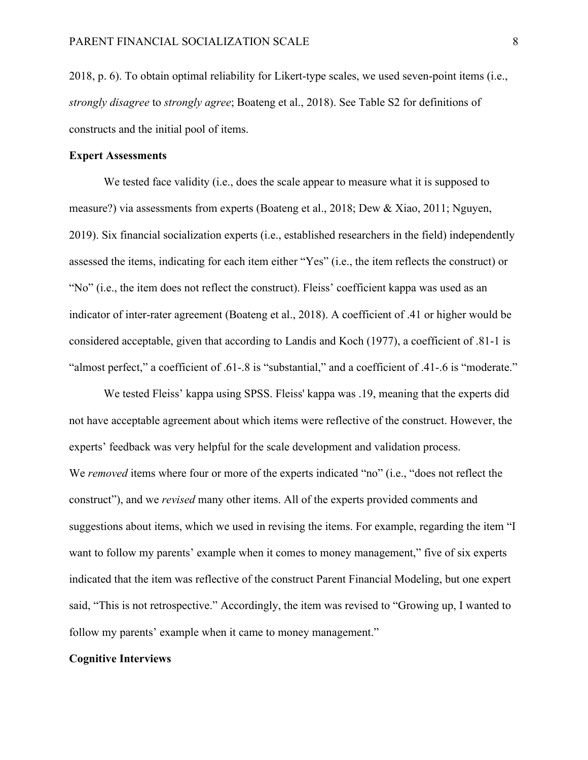2018, p. 6). To obtain optimal reliability for Likert-type scales, we used seven-point items (i.e., *strongly disagree* to *strongly agree*; Boateng et al., 2018). See Table S2 for definitions of constructs and the initial pool of items.

#### **Expert Assessments**

We tested face validity (i.e., does the scale appear to measure what it is supposed to measure?) via assessments from experts (Boateng et al., 2018; Dew & Xiao, 2011; Nguyen, 2019). Six financial socialization experts (i.e., established researchers in the field) independently assessed the items, indicating for each item either "Yes" (i.e., the item reflects the construct) or "No" (i.e., the item does not reflect the construct). Fleiss' coefficient kappa was used as an indicator of inter-rater agreement (Boateng et al., 2018). A coefficient of .41 or higher would be considered acceptable, given that according to Landis and Koch (1977), a coefficient of .81-1 is "almost perfect," a coefficient of .61-.8 is "substantial," and a coefficient of .41-.6 is "moderate."

We tested Fleiss' kappa using SPSS. Fleiss' kappa was .19, meaning that the experts did not have acceptable agreement about which items were reflective of the construct. However, the experts' feedback was very helpful for the scale development and validation process. We *removed* items where four or more of the experts indicated "no" (i.e., "does not reflect the construct"), and we *revised* many other items. All of the experts provided comments and suggestions about items, which we used in revising the items. For example, regarding the item "I want to follow my parents' example when it comes to money management," five of six experts indicated that the item was reflective of the construct Parent Financial Modeling, but one expert said, "This is not retrospective." Accordingly, the item was revised to "Growing up, I wanted to follow my parents' example when it came to money management."

#### **Cognitive Interviews**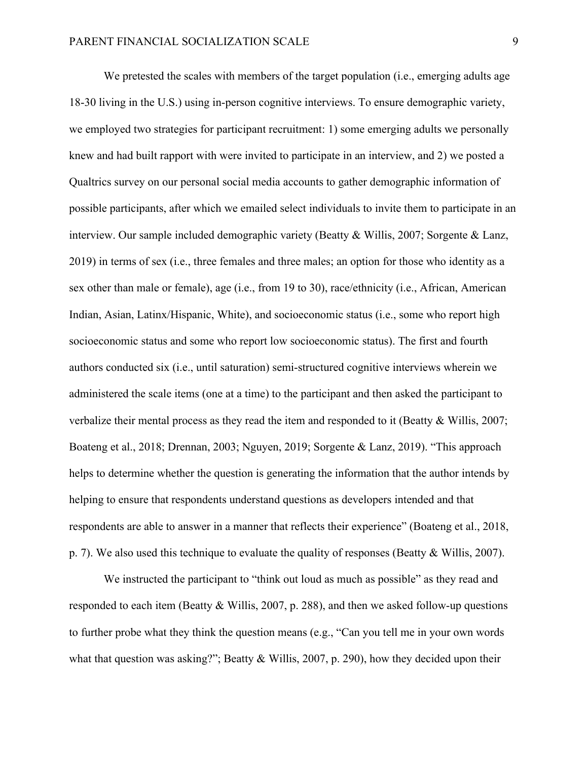We pretested the scales with members of the target population (i.e., emerging adults age 18-30 living in the U.S.) using in-person cognitive interviews. To ensure demographic variety, we employed two strategies for participant recruitment: 1) some emerging adults we personally knew and had built rapport with were invited to participate in an interview, and 2) we posted a Qualtrics survey on our personal social media accounts to gather demographic information of possible participants, after which we emailed select individuals to invite them to participate in an interview. Our sample included demographic variety (Beatty & Willis, 2007; Sorgente & Lanz, 2019) in terms of sex (i.e., three females and three males; an option for those who identity as a sex other than male or female), age (i.e., from 19 to 30), race/ethnicity (i.e., African, American Indian, Asian, Latinx/Hispanic, White), and socioeconomic status (i.e., some who report high socioeconomic status and some who report low socioeconomic status). The first and fourth authors conducted six (i.e., until saturation) semi-structured cognitive interviews wherein we administered the scale items (one at a time) to the participant and then asked the participant to verbalize their mental process as they read the item and responded to it (Beatty & Willis, 2007; Boateng et al., 2018; Drennan, 2003; Nguyen, 2019; Sorgente & Lanz, 2019). "This approach helps to determine whether the question is generating the information that the author intends by helping to ensure that respondents understand questions as developers intended and that respondents are able to answer in a manner that reflects their experience" (Boateng et al., 2018, p. 7). We also used this technique to evaluate the quality of responses (Beatty & Willis, 2007).

We instructed the participant to "think out loud as much as possible" as they read and responded to each item (Beatty & Willis, 2007, p. 288), and then we asked follow-up questions to further probe what they think the question means (e.g., "Can you tell me in your own words what that question was asking?"; Beatty & Willis, 2007, p. 290), how they decided upon their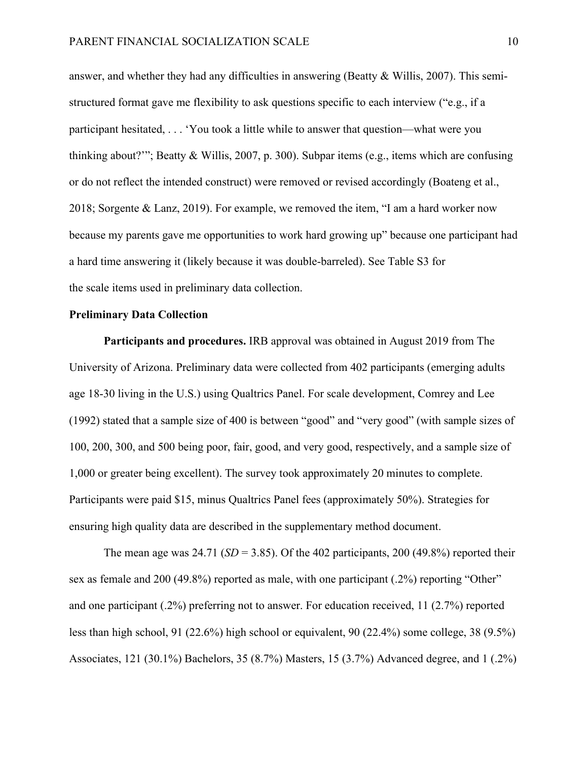answer, and whether they had any difficulties in answering (Beatty & Willis, 2007). This semistructured format gave me flexibility to ask questions specific to each interview ("e.g., if a participant hesitated, . . . 'You took a little while to answer that question—what were you thinking about?'"; Beatty & Willis, 2007, p. 300). Subpar items (e.g., items which are confusing or do not reflect the intended construct) were removed or revised accordingly (Boateng et al., 2018; Sorgente & Lanz, 2019). For example, we removed the item, "I am a hard worker now because my parents gave me opportunities to work hard growing up" because one participant had a hard time answering it (likely because it was double-barreled). See Table S3 for the scale items used in preliminary data collection.

## **Preliminary Data Collection**

**Participants and procedures.** IRB approval was obtained in August 2019 from The University of Arizona. Preliminary data were collected from 402 participants (emerging adults age 18-30 living in the U.S.) using Qualtrics Panel. For scale development, Comrey and Lee (1992) stated that a sample size of 400 is between "good" and "very good" (with sample sizes of 100, 200, 300, and 500 being poor, fair, good, and very good, respectively, and a sample size of 1,000 or greater being excellent). The survey took approximately 20 minutes to complete. Participants were paid \$15, minus Qualtrics Panel fees (approximately 50%). Strategies for ensuring high quality data are described in the supplementary method document.

The mean age was  $24.71$  (*SD* = 3.85). Of the 402 participants, 200 (49.8%) reported their sex as female and 200 (49.8%) reported as male, with one participant (.2%) reporting "Other" and one participant (.2%) preferring not to answer. For education received, 11 (2.7%) reported less than high school, 91 (22.6%) high school or equivalent, 90 (22.4%) some college, 38 (9.5%) Associates, 121 (30.1%) Bachelors, 35 (8.7%) Masters, 15 (3.7%) Advanced degree, and 1 (.2%)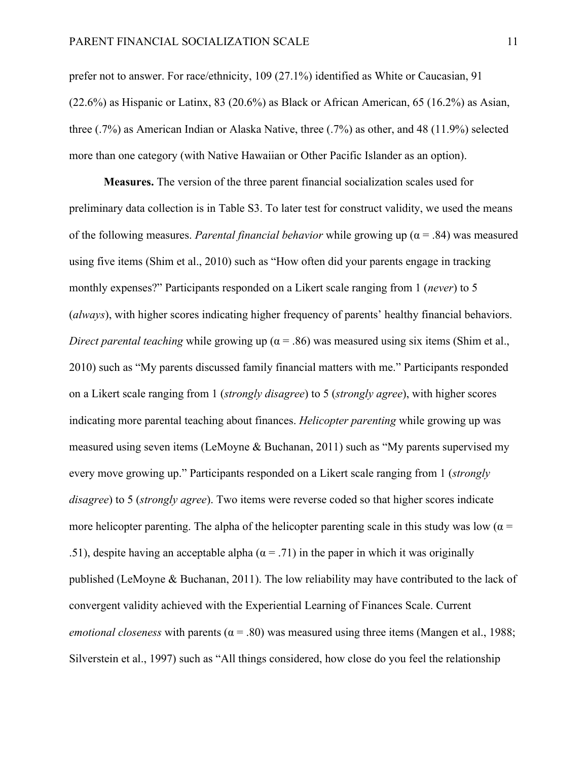prefer not to answer. For race/ethnicity, 109 (27.1%) identified as White or Caucasian, 91 (22.6%) as Hispanic or Latinx, 83 (20.6%) as Black or African American, 65 (16.2%) as Asian, three (.7%) as American Indian or Alaska Native, three (.7%) as other, and 48 (11.9%) selected more than one category (with Native Hawaiian or Other Pacific Islander as an option).

**Measures.** The version of the three parent financial socialization scales used for preliminary data collection is in Table S3. To later test for construct validity, we used the means of the following measures. *Parental financial behavior* while growing up ( $\alpha$  = .84) was measured using five items (Shim et al., 2010) such as "How often did your parents engage in tracking monthly expenses?" Participants responded on a Likert scale ranging from 1 (*never*) to 5 (*always*), with higher scores indicating higher frequency of parents' healthy financial behaviors. *Direct parental teaching while growing up* ( $\alpha$  = .86) was measured using six items (Shim et al., 2010) such as "My parents discussed family financial matters with me." Participants responded on a Likert scale ranging from 1 (*strongly disagree*) to 5 (*strongly agree*), with higher scores indicating more parental teaching about finances. *Helicopter parenting* while growing up was measured using seven items (LeMoyne & Buchanan, 2011) such as "My parents supervised my every move growing up." Participants responded on a Likert scale ranging from 1 (*strongly disagree*) to 5 (*strongly agree*). Two items were reverse coded so that higher scores indicate more helicopter parenting. The alpha of the helicopter parenting scale in this study was low ( $\alpha$  = .51), despite having an acceptable alpha ( $\alpha$  = .71) in the paper in which it was originally published (LeMoyne & Buchanan, 2011). The low reliability may have contributed to the lack of convergent validity achieved with the Experiential Learning of Finances Scale. Current *emotional closeness* with parents ( $\alpha$  = .80) was measured using three items (Mangen et al., 1988; Silverstein et al., 1997) such as "All things considered, how close do you feel the relationship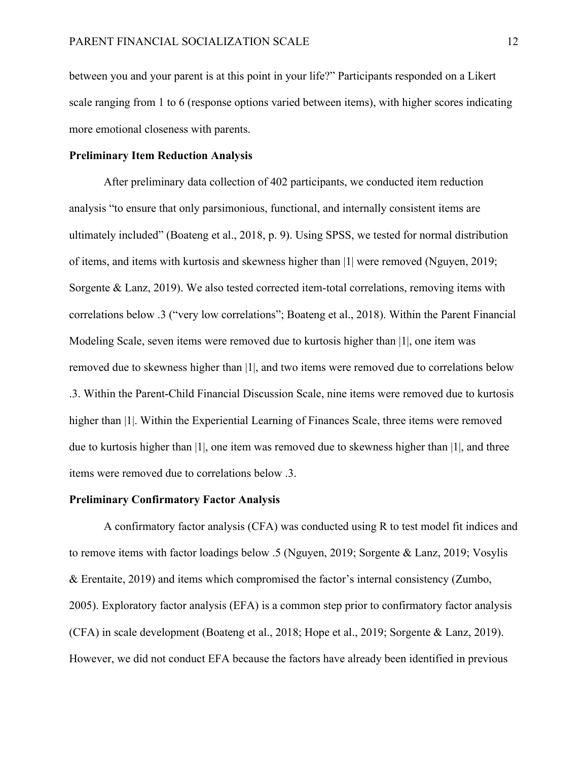between you and your parent is at this point in your life?" Participants responded on a Likert scale ranging from 1 to 6 (response options varied between items), with higher scores indicating more emotional closeness with parents.

# **Preliminary Item Reduction Analysis**

After preliminary data collection of 402 participants, we conducted item reduction analysis "to ensure that only parsimonious, functional, and internally consistent items are ultimately included" (Boateng et al., 2018, p. 9). Using SPSS, we tested for normal distribution of items, and items with kurtosis and skewness higher than |1| were removed (Nguyen, 2019; Sorgente & Lanz, 2019). We also tested corrected item-total correlations, removing items with correlations below .3 ("very low correlations"; Boateng et al., 2018). Within the Parent Financial Modeling Scale, seven items were removed due to kurtosis higher than |1|, one item was removed due to skewness higher than |1|, and two items were removed due to correlations below .3. Within the Parent-Child Financial Discussion Scale, nine items were removed due to kurtosis higher than |1|. Within the Experiential Learning of Finances Scale, three items were removed due to kurtosis higher than |1|, one item was removed due to skewness higher than |1|, and three items were removed due to correlations below .3.

# **Preliminary Confirmatory Factor Analysis**

A confirmatory factor analysis (CFA) was conducted using R to test model fit indices and to remove items with factor loadings below .5 (Nguyen, 2019; Sorgente & Lanz, 2019; Vosylis & Erentaite, 2019) and items which compromised the factor's internal consistency (Zumbo, 2005). Exploratory factor analysis (EFA) is a common step prior to confirmatory factor analysis (CFA) in scale development (Boateng et al., 2018; Hope et al., 2019; Sorgente & Lanz, 2019). However, we did not conduct EFA because the factors have already been identified in previous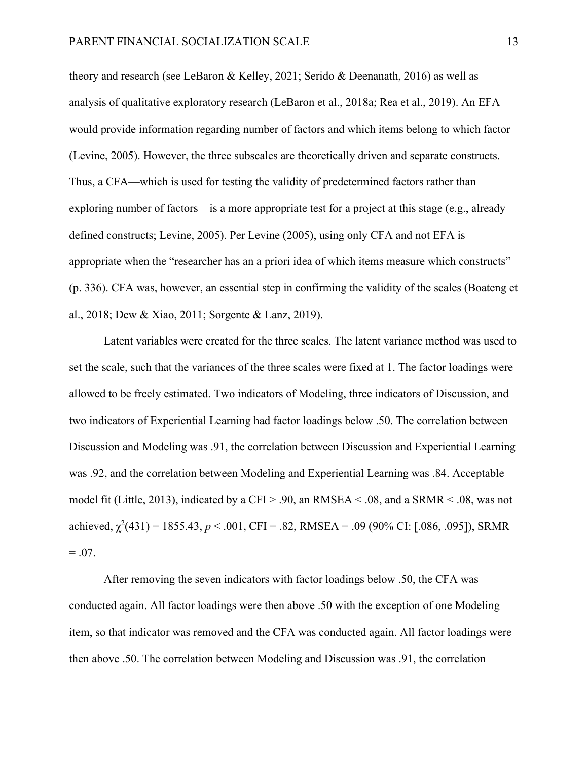theory and research (see LeBaron & Kelley, 2021; Serido & Deenanath, 2016) as well as analysis of qualitative exploratory research (LeBaron et al., 2018a; Rea et al., 2019). An EFA would provide information regarding number of factors and which items belong to which factor (Levine, 2005). However, the three subscales are theoretically driven and separate constructs. Thus, a CFA—which is used for testing the validity of predetermined factors rather than exploring number of factors—is a more appropriate test for a project at this stage (e.g., already defined constructs; Levine, 2005). Per Levine (2005), using only CFA and not EFA is appropriate when the "researcher has an a priori idea of which items measure which constructs" (p. 336). CFA was, however, an essential step in confirming the validity of the scales (Boateng et al., 2018; Dew & Xiao, 2011; Sorgente & Lanz, 2019).

Latent variables were created for the three scales. The latent variance method was used to set the scale, such that the variances of the three scales were fixed at 1. The factor loadings were allowed to be freely estimated. Two indicators of Modeling, three indicators of Discussion, and two indicators of Experiential Learning had factor loadings below .50. The correlation between Discussion and Modeling was .91, the correlation between Discussion and Experiential Learning was .92, and the correlation between Modeling and Experiential Learning was .84. Acceptable model fit (Little, 2013), indicated by a CFI > .90, an RMSEA < .08, and a SRMR < .08, was not achieved,  $\chi^2(431) = 1855.43, p < .001$ , CFI = .82, RMSEA = .09 (90% CI: [.086, .095]), SRMR  $= .07.$ 

After removing the seven indicators with factor loadings below .50, the CFA was conducted again. All factor loadings were then above .50 with the exception of one Modeling item, so that indicator was removed and the CFA was conducted again. All factor loadings were then above .50. The correlation between Modeling and Discussion was .91, the correlation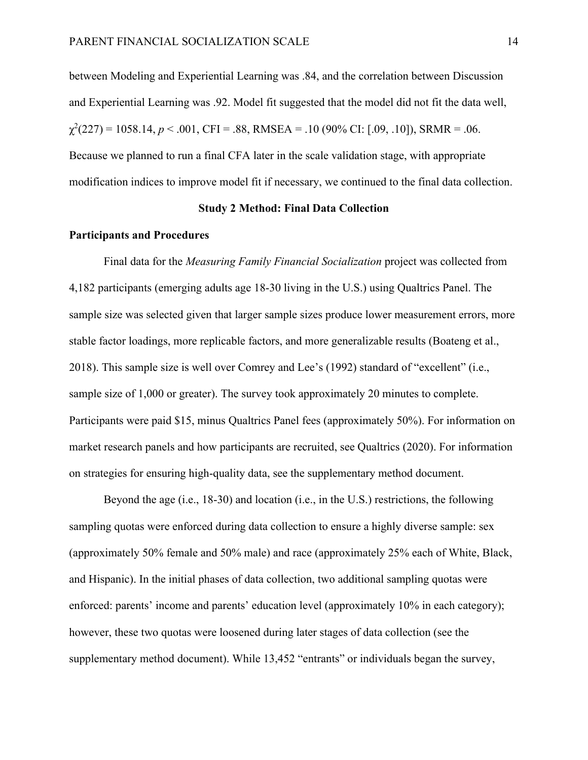between Modeling and Experiential Learning was .84, and the correlation between Discussion and Experiential Learning was .92. Model fit suggested that the model did not fit the data well,  $\chi^2(227) = 1058.14, p < .001, \text{CFI} = .88, \text{RMSEA} = .10 (90\% \text{ CI: } [.09, .10]), \text{SRMR} = .06.$ Because we planned to run a final CFA later in the scale validation stage, with appropriate modification indices to improve model fit if necessary, we continued to the final data collection.

# **Study 2 Method: Final Data Collection**

# **Participants and Procedures**

Final data for the *Measuring Family Financial Socialization* project was collected from 4,182 participants (emerging adults age 18-30 living in the U.S.) using Qualtrics Panel. The sample size was selected given that larger sample sizes produce lower measurement errors, more stable factor loadings, more replicable factors, and more generalizable results (Boateng et al., 2018). This sample size is well over Comrey and Lee's (1992) standard of "excellent" (i.e., sample size of 1,000 or greater). The survey took approximately 20 minutes to complete. Participants were paid \$15, minus Qualtrics Panel fees (approximately 50%). For information on market research panels and how participants are recruited, see Qualtrics (2020). For information on strategies for ensuring high-quality data, see the supplementary method document.

Beyond the age (i.e., 18-30) and location (i.e., in the U.S.) restrictions, the following sampling quotas were enforced during data collection to ensure a highly diverse sample: sex (approximately 50% female and 50% male) and race (approximately 25% each of White, Black, and Hispanic). In the initial phases of data collection, two additional sampling quotas were enforced: parents' income and parents' education level (approximately 10% in each category); however, these two quotas were loosened during later stages of data collection (see the supplementary method document). While 13,452 "entrants" or individuals began the survey,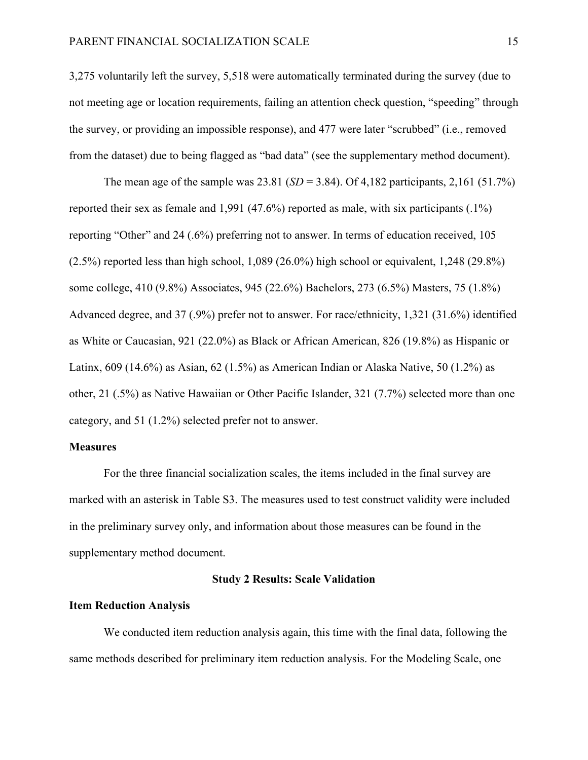3,275 voluntarily left the survey, 5,518 were automatically terminated during the survey (due to not meeting age or location requirements, failing an attention check question, "speeding" through the survey, or providing an impossible response), and 477 were later "scrubbed" (i.e., removed from the dataset) due to being flagged as "bad data" (see the supplementary method document).

The mean age of the sample was  $23.81$  (*SD* = 3.84). Of 4,182 participants, 2,161 (51.7%) reported their sex as female and 1,991 (47.6%) reported as male, with six participants (.1%) reporting "Other" and 24 (.6%) preferring not to answer. In terms of education received, 105 (2.5%) reported less than high school, 1,089 (26.0%) high school or equivalent, 1,248 (29.8%) some college, 410 (9.8%) Associates, 945 (22.6%) Bachelors, 273 (6.5%) Masters, 75 (1.8%) Advanced degree, and 37 (.9%) prefer not to answer. For race/ethnicity, 1,321 (31.6%) identified as White or Caucasian, 921 (22.0%) as Black or African American, 826 (19.8%) as Hispanic or Latinx,  $609$  (14.6%) as Asian,  $62$  (1.5%) as American Indian or Alaska Native, 50 (1.2%) as other, 21 (.5%) as Native Hawaiian or Other Pacific Islander, 321 (7.7%) selected more than one category, and 51 (1.2%) selected prefer not to answer.

# **Measures**

For the three financial socialization scales, the items included in the final survey are marked with an asterisk in Table S3. The measures used to test construct validity were included in the preliminary survey only, and information about those measures can be found in the supplementary method document.

#### **Study 2 Results: Scale Validation**

#### **Item Reduction Analysis**

We conducted item reduction analysis again, this time with the final data, following the same methods described for preliminary item reduction analysis. For the Modeling Scale, one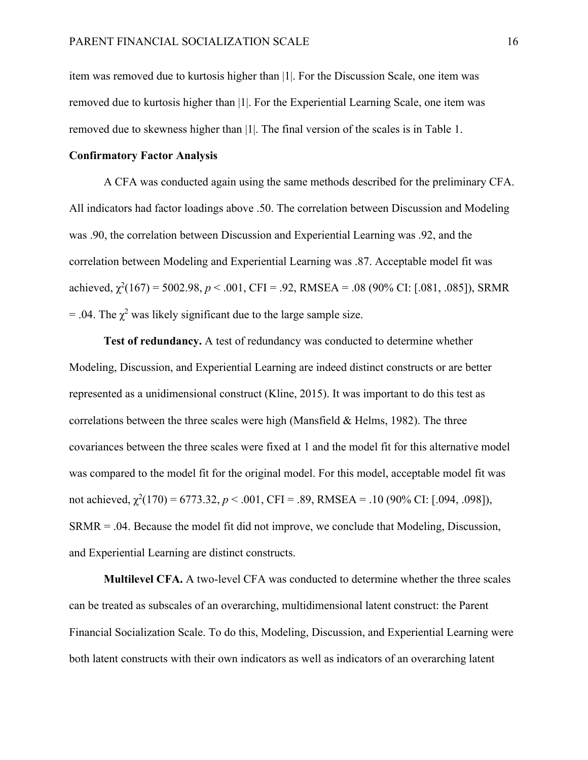item was removed due to kurtosis higher than |1|. For the Discussion Scale, one item was removed due to kurtosis higher than |1|. For the Experiential Learning Scale, one item was removed due to skewness higher than |1|. The final version of the scales is in Table 1.

# **Confirmatory Factor Analysis**

A CFA was conducted again using the same methods described for the preliminary CFA. All indicators had factor loadings above .50. The correlation between Discussion and Modeling was .90, the correlation between Discussion and Experiential Learning was .92, and the correlation between Modeling and Experiential Learning was .87. Acceptable model fit was achieved,  $\chi^2(167) = 5002.98$ ,  $p < .001$ , CFI = .92, RMSEA = .08 (90% CI: [.081, .085]), SRMR = .04. The  $\chi^2$  was likely significant due to the large sample size.

**Test of redundancy.** A test of redundancy was conducted to determine whether Modeling, Discussion, and Experiential Learning are indeed distinct constructs or are better represented as a unidimensional construct (Kline, 2015). It was important to do this test as correlations between the three scales were high (Mansfield  $\&$  Helms, 1982). The three covariances between the three scales were fixed at 1 and the model fit for this alternative model was compared to the model fit for the original model. For this model, acceptable model fit was not achieved,  $\chi^2(170) = 6773.32$ ,  $p < .001$ , CFI = .89, RMSEA = .10 (90% CI: [.094, .098]), SRMR = .04. Because the model fit did not improve, we conclude that Modeling, Discussion, and Experiential Learning are distinct constructs.

**Multilevel CFA.** A two-level CFA was conducted to determine whether the three scales can be treated as subscales of an overarching, multidimensional latent construct: the Parent Financial Socialization Scale. To do this, Modeling, Discussion, and Experiential Learning were both latent constructs with their own indicators as well as indicators of an overarching latent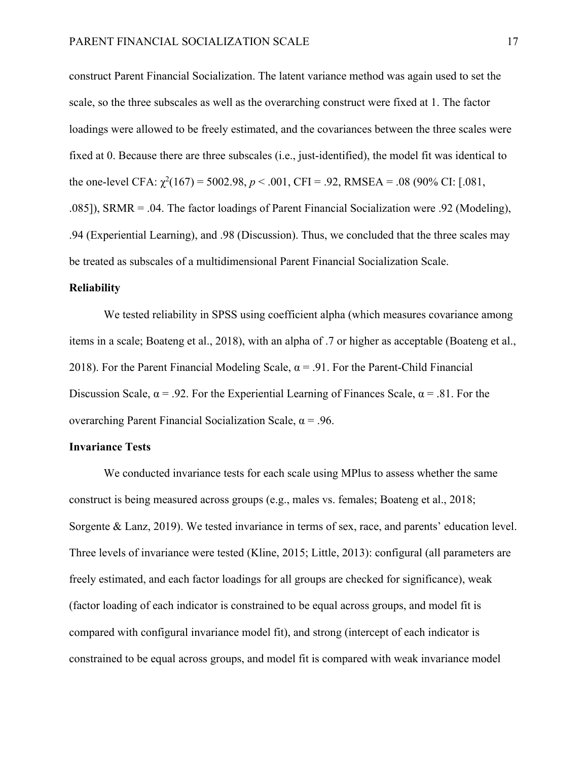construct Parent Financial Socialization. The latent variance method was again used to set the scale, so the three subscales as well as the overarching construct were fixed at 1. The factor loadings were allowed to be freely estimated, and the covariances between the three scales were fixed at 0. Because there are three subscales (i.e., just-identified), the model fit was identical to the one-level CFA:  $\chi^2(167) = 5002.98$ ,  $p < .001$ , CFI = .92, RMSEA = .08 (90% CI: [.081, .085]), SRMR = .04. The factor loadings of Parent Financial Socialization were .92 (Modeling), .94 (Experiential Learning), and .98 (Discussion). Thus, we concluded that the three scales may be treated as subscales of a multidimensional Parent Financial Socialization Scale.

# **Reliability**

We tested reliability in SPSS using coefficient alpha (which measures covariance among items in a scale; Boateng et al., 2018), with an alpha of .7 or higher as acceptable (Boateng et al., 2018). For the Parent Financial Modeling Scale,  $\alpha = .91$ . For the Parent-Child Financial Discussion Scale,  $\alpha$  = .92. For the Experiential Learning of Finances Scale,  $\alpha$  = .81. For the overarching Parent Financial Socialization Scale,  $\alpha = .96$ .

#### **Invariance Tests**

We conducted invariance tests for each scale using MPlus to assess whether the same construct is being measured across groups (e.g., males vs. females; Boateng et al., 2018; Sorgente & Lanz, 2019). We tested invariance in terms of sex, race, and parents' education level. Three levels of invariance were tested (Kline, 2015; Little, 2013): configural (all parameters are freely estimated, and each factor loadings for all groups are checked for significance), weak (factor loading of each indicator is constrained to be equal across groups, and model fit is compared with configural invariance model fit), and strong (intercept of each indicator is constrained to be equal across groups, and model fit is compared with weak invariance model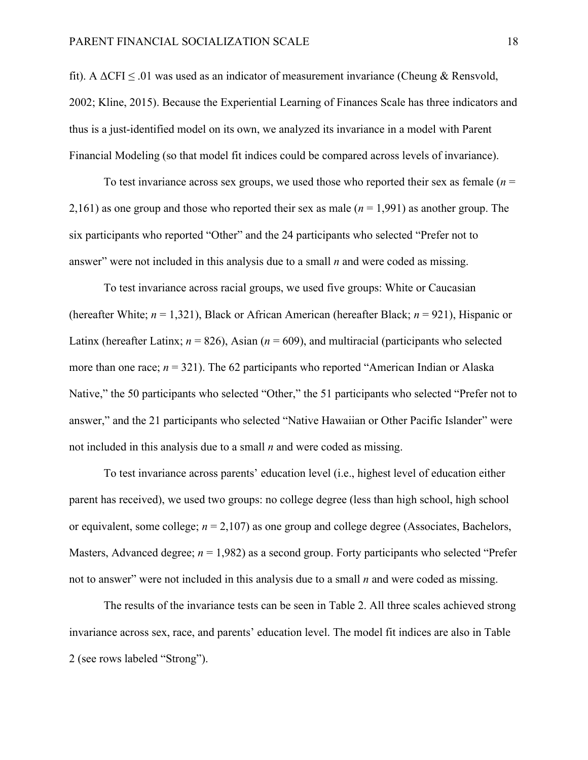fit). A  $\Delta$ CFI  $\leq$  01 was used as an indicator of measurement invariance (Cheung & Rensvold, 2002; Kline, 2015). Because the Experiential Learning of Finances Scale has three indicators and thus is a just-identified model on its own, we analyzed its invariance in a model with Parent Financial Modeling (so that model fit indices could be compared across levels of invariance).

To test invariance across sex groups, we used those who reported their sex as female (*n* = 2,161) as one group and those who reported their sex as male (*n* = 1,991) as another group. The six participants who reported "Other" and the 24 participants who selected "Prefer not to answer" were not included in this analysis due to a small *n* and were coded as missing.

To test invariance across racial groups, we used five groups: White or Caucasian (hereafter White; *n* = 1,321), Black or African American (hereafter Black; *n* = 921), Hispanic or Latinx (hereafter Latinx;  $n = 826$ ), Asian ( $n = 609$ ), and multiracial (participants who selected more than one race;  $n = 321$ ). The 62 participants who reported "American Indian or Alaska" Native," the 50 participants who selected "Other," the 51 participants who selected "Prefer not to answer," and the 21 participants who selected "Native Hawaiian or Other Pacific Islander" were not included in this analysis due to a small *n* and were coded as missing.

To test invariance across parents' education level (i.e., highest level of education either parent has received), we used two groups: no college degree (less than high school, high school or equivalent, some college; *n* = 2,107) as one group and college degree (Associates, Bachelors, Masters, Advanced degree;  $n = 1,982$ ) as a second group. Forty participants who selected "Prefer not to answer" were not included in this analysis due to a small *n* and were coded as missing.

The results of the invariance tests can be seen in Table 2. All three scales achieved strong invariance across sex, race, and parents' education level. The model fit indices are also in Table 2 (see rows labeled "Strong").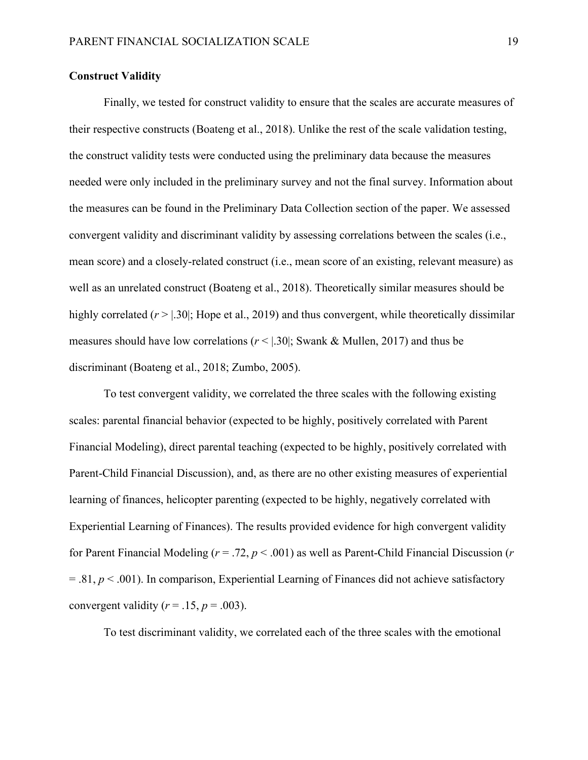# **Construct Validity**

Finally, we tested for construct validity to ensure that the scales are accurate measures of their respective constructs (Boateng et al., 2018). Unlike the rest of the scale validation testing, the construct validity tests were conducted using the preliminary data because the measures needed were only included in the preliminary survey and not the final survey. Information about the measures can be found in the Preliminary Data Collection section of the paper. We assessed convergent validity and discriminant validity by assessing correlations between the scales (i.e., mean score) and a closely-related construct (i.e., mean score of an existing, relevant measure) as well as an unrelated construct (Boateng et al., 2018). Theoretically similar measures should be highly correlated ( $r > 1.30$ ); Hope et al., 2019) and thus convergent, while theoretically dissimilar measures should have low correlations  $(r < |.30|;$  Swank & Mullen, 2017) and thus be discriminant (Boateng et al., 2018; Zumbo, 2005).

To test convergent validity, we correlated the three scales with the following existing scales: parental financial behavior (expected to be highly, positively correlated with Parent Financial Modeling), direct parental teaching (expected to be highly, positively correlated with Parent-Child Financial Discussion), and, as there are no other existing measures of experiential learning of finances, helicopter parenting (expected to be highly, negatively correlated with Experiential Learning of Finances). The results provided evidence for high convergent validity for Parent Financial Modeling (*r* = .72, *p* < .001) as well as Parent-Child Financial Discussion (*r*   $= 0.81, p \lt 0.001$ ). In comparison, Experiential Learning of Finances did not achieve satisfactory convergent validity  $(r = .15, p = .003)$ .

To test discriminant validity, we correlated each of the three scales with the emotional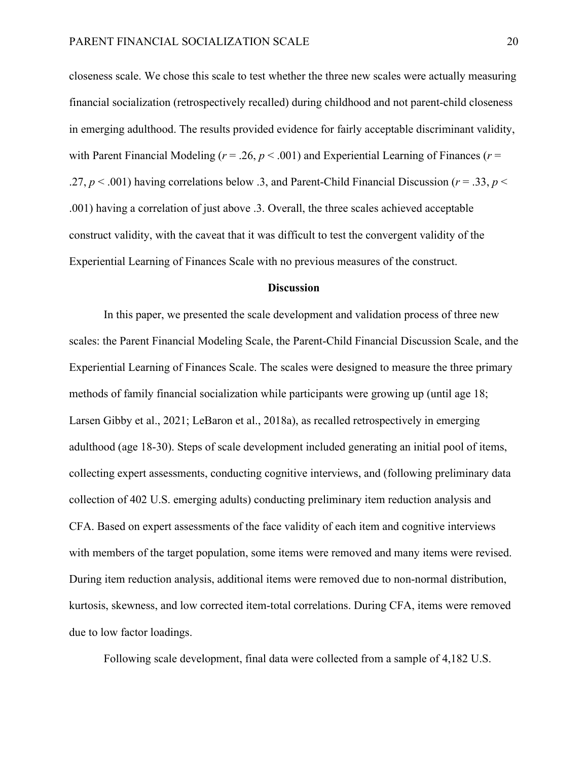closeness scale. We chose this scale to test whether the three new scales were actually measuring financial socialization (retrospectively recalled) during childhood and not parent-child closeness in emerging adulthood. The results provided evidence for fairly acceptable discriminant validity, with Parent Financial Modeling ( $r = .26$ ,  $p < .001$ ) and Experiential Learning of Finances ( $r =$ .27, *p* < .001) having correlations below .3, and Parent-Child Financial Discussion (*r* = .33, *p* < .001) having a correlation of just above .3. Overall, the three scales achieved acceptable construct validity, with the caveat that it was difficult to test the convergent validity of the Experiential Learning of Finances Scale with no previous measures of the construct.

# **Discussion**

In this paper, we presented the scale development and validation process of three new scales: the Parent Financial Modeling Scale, the Parent-Child Financial Discussion Scale, and the Experiential Learning of Finances Scale. The scales were designed to measure the three primary methods of family financial socialization while participants were growing up (until age 18; Larsen Gibby et al., 2021; LeBaron et al., 2018a), as recalled retrospectively in emerging adulthood (age 18-30). Steps of scale development included generating an initial pool of items, collecting expert assessments, conducting cognitive interviews, and (following preliminary data collection of 402 U.S. emerging adults) conducting preliminary item reduction analysis and CFA. Based on expert assessments of the face validity of each item and cognitive interviews with members of the target population, some items were removed and many items were revised. During item reduction analysis, additional items were removed due to non-normal distribution, kurtosis, skewness, and low corrected item-total correlations. During CFA, items were removed due to low factor loadings.

Following scale development, final data were collected from a sample of 4,182 U.S.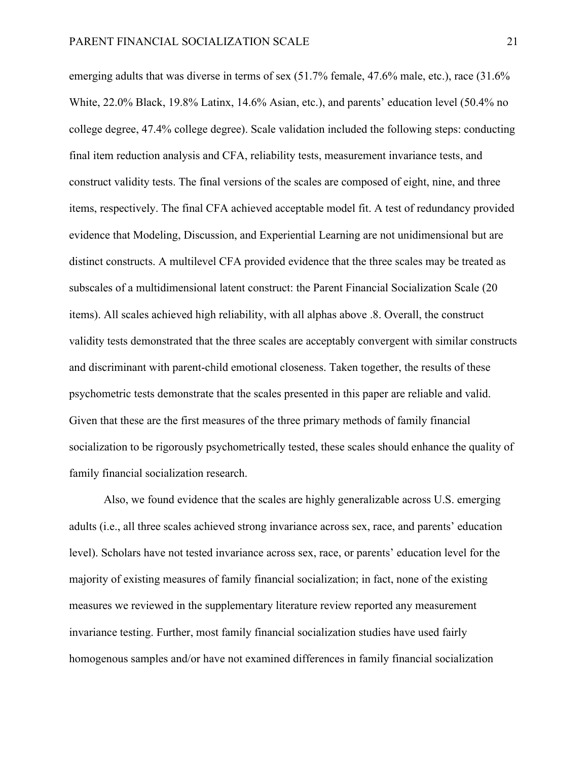emerging adults that was diverse in terms of sex (51.7% female, 47.6% male, etc.), race (31.6% White, 22.0% Black, 19.8% Latinx, 14.6% Asian, etc.), and parents' education level (50.4% no college degree, 47.4% college degree). Scale validation included the following steps: conducting final item reduction analysis and CFA, reliability tests, measurement invariance tests, and construct validity tests. The final versions of the scales are composed of eight, nine, and three items, respectively. The final CFA achieved acceptable model fit. A test of redundancy provided evidence that Modeling, Discussion, and Experiential Learning are not unidimensional but are distinct constructs. A multilevel CFA provided evidence that the three scales may be treated as subscales of a multidimensional latent construct: the Parent Financial Socialization Scale (20 items). All scales achieved high reliability, with all alphas above .8. Overall, the construct validity tests demonstrated that the three scales are acceptably convergent with similar constructs and discriminant with parent-child emotional closeness. Taken together, the results of these psychometric tests demonstrate that the scales presented in this paper are reliable and valid. Given that these are the first measures of the three primary methods of family financial socialization to be rigorously psychometrically tested, these scales should enhance the quality of family financial socialization research.

Also, we found evidence that the scales are highly generalizable across U.S. emerging adults (i.e., all three scales achieved strong invariance across sex, race, and parents' education level). Scholars have not tested invariance across sex, race, or parents' education level for the majority of existing measures of family financial socialization; in fact, none of the existing measures we reviewed in the supplementary literature review reported any measurement invariance testing. Further, most family financial socialization studies have used fairly homogenous samples and/or have not examined differences in family financial socialization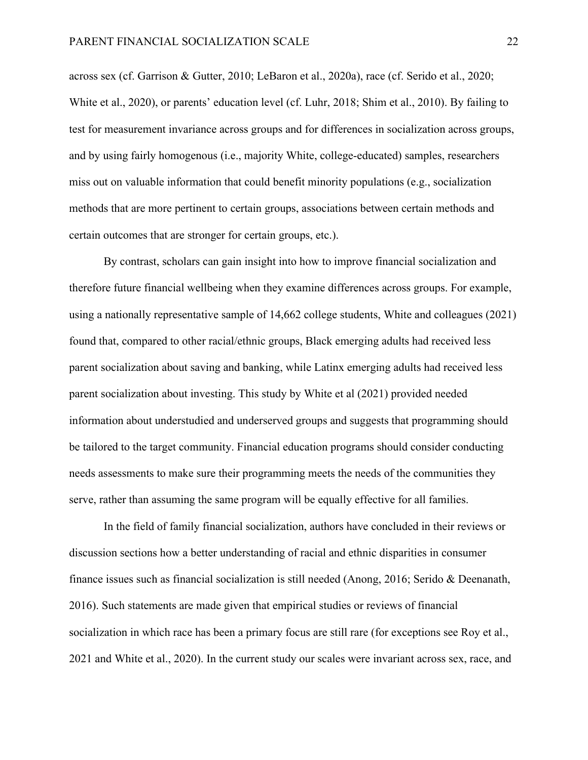across sex (cf. Garrison & Gutter, 2010; LeBaron et al., 2020a), race (cf. Serido et al., 2020; White et al., 2020), or parents' education level (cf. Luhr, 2018; Shim et al., 2010). By failing to test for measurement invariance across groups and for differences in socialization across groups, and by using fairly homogenous (i.e., majority White, college-educated) samples, researchers miss out on valuable information that could benefit minority populations (e.g., socialization methods that are more pertinent to certain groups, associations between certain methods and certain outcomes that are stronger for certain groups, etc.).

By contrast, scholars can gain insight into how to improve financial socialization and therefore future financial wellbeing when they examine differences across groups. For example, using a nationally representative sample of 14,662 college students, White and colleagues (2021) found that, compared to other racial/ethnic groups, Black emerging adults had received less parent socialization about saving and banking, while Latinx emerging adults had received less parent socialization about investing. This study by White et al (2021) provided needed information about understudied and underserved groups and suggests that programming should be tailored to the target community. Financial education programs should consider conducting needs assessments to make sure their programming meets the needs of the communities they serve, rather than assuming the same program will be equally effective for all families.

In the field of family financial socialization, authors have concluded in their reviews or discussion sections how a better understanding of racial and ethnic disparities in consumer finance issues such as financial socialization is still needed (Anong, 2016; Serido & Deenanath, 2016). Such statements are made given that empirical studies or reviews of financial socialization in which race has been a primary focus are still rare (for exceptions see Roy et al., 2021 and White et al., 2020). In the current study our scales were invariant across sex, race, and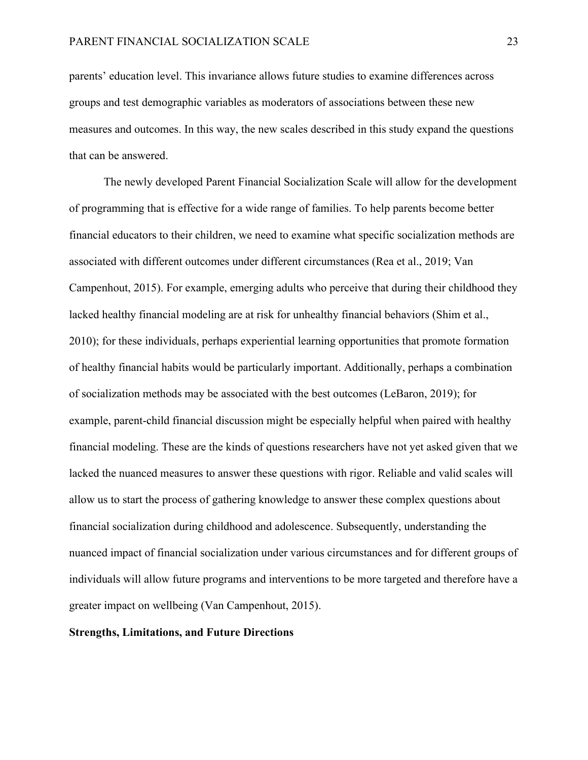parents' education level. This invariance allows future studies to examine differences across groups and test demographic variables as moderators of associations between these new measures and outcomes. In this way, the new scales described in this study expand the questions that can be answered.

The newly developed Parent Financial Socialization Scale will allow for the development of programming that is effective for a wide range of families. To help parents become better financial educators to their children, we need to examine what specific socialization methods are associated with different outcomes under different circumstances (Rea et al., 2019; Van Campenhout, 2015). For example, emerging adults who perceive that during their childhood they lacked healthy financial modeling are at risk for unhealthy financial behaviors (Shim et al., 2010); for these individuals, perhaps experiential learning opportunities that promote formation of healthy financial habits would be particularly important. Additionally, perhaps a combination of socialization methods may be associated with the best outcomes (LeBaron, 2019); for example, parent-child financial discussion might be especially helpful when paired with healthy financial modeling. These are the kinds of questions researchers have not yet asked given that we lacked the nuanced measures to answer these questions with rigor. Reliable and valid scales will allow us to start the process of gathering knowledge to answer these complex questions about financial socialization during childhood and adolescence. Subsequently, understanding the nuanced impact of financial socialization under various circumstances and for different groups of individuals will allow future programs and interventions to be more targeted and therefore have a greater impact on wellbeing (Van Campenhout, 2015).

# **Strengths, Limitations, and Future Directions**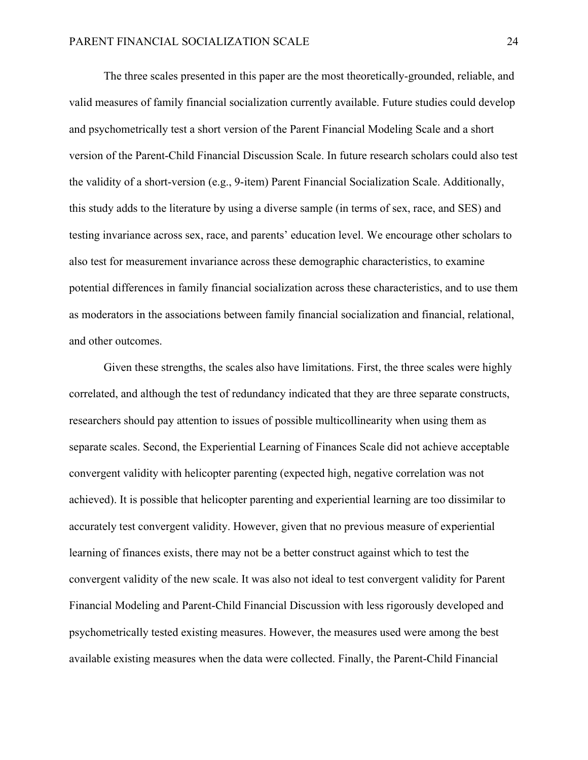The three scales presented in this paper are the most theoretically-grounded, reliable, and valid measures of family financial socialization currently available. Future studies could develop and psychometrically test a short version of the Parent Financial Modeling Scale and a short version of the Parent-Child Financial Discussion Scale. In future research scholars could also test the validity of a short-version (e.g., 9-item) Parent Financial Socialization Scale. Additionally, this study adds to the literature by using a diverse sample (in terms of sex, race, and SES) and testing invariance across sex, race, and parents' education level. We encourage other scholars to also test for measurement invariance across these demographic characteristics, to examine potential differences in family financial socialization across these characteristics, and to use them as moderators in the associations between family financial socialization and financial, relational, and other outcomes.

Given these strengths, the scales also have limitations. First, the three scales were highly correlated, and although the test of redundancy indicated that they are three separate constructs, researchers should pay attention to issues of possible multicollinearity when using them as separate scales. Second, the Experiential Learning of Finances Scale did not achieve acceptable convergent validity with helicopter parenting (expected high, negative correlation was not achieved). It is possible that helicopter parenting and experiential learning are too dissimilar to accurately test convergent validity. However, given that no previous measure of experiential learning of finances exists, there may not be a better construct against which to test the convergent validity of the new scale. It was also not ideal to test convergent validity for Parent Financial Modeling and Parent-Child Financial Discussion with less rigorously developed and psychometrically tested existing measures. However, the measures used were among the best available existing measures when the data were collected. Finally, the Parent-Child Financial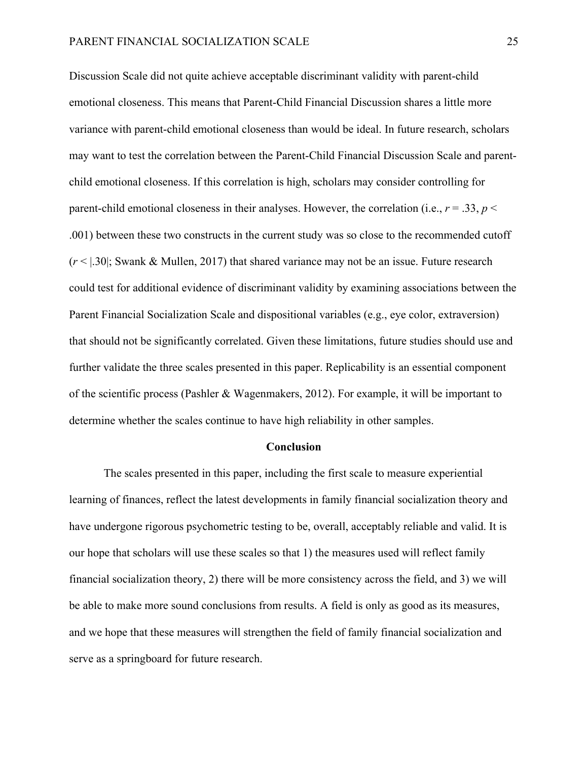Discussion Scale did not quite achieve acceptable discriminant validity with parent-child emotional closeness. This means that Parent-Child Financial Discussion shares a little more variance with parent-child emotional closeness than would be ideal. In future research, scholars may want to test the correlation between the Parent-Child Financial Discussion Scale and parentchild emotional closeness. If this correlation is high, scholars may consider controlling for parent-child emotional closeness in their analyses. However, the correlation (i.e.,  $r = .33$ ,  $p <$ .001) between these two constructs in the current study was so close to the recommended cutoff (*r* < |.30|; Swank & Mullen, 2017) that shared variance may not be an issue. Future research could test for additional evidence of discriminant validity by examining associations between the Parent Financial Socialization Scale and dispositional variables (e.g., eye color, extraversion) that should not be significantly correlated. Given these limitations, future studies should use and further validate the three scales presented in this paper. Replicability is an essential component of the scientific process (Pashler & Wagenmakers, 2012). For example, it will be important to determine whether the scales continue to have high reliability in other samples.

#### **Conclusion**

The scales presented in this paper, including the first scale to measure experiential learning of finances, reflect the latest developments in family financial socialization theory and have undergone rigorous psychometric testing to be, overall, acceptably reliable and valid. It is our hope that scholars will use these scales so that 1) the measures used will reflect family financial socialization theory, 2) there will be more consistency across the field, and 3) we will be able to make more sound conclusions from results. A field is only as good as its measures, and we hope that these measures will strengthen the field of family financial socialization and serve as a springboard for future research.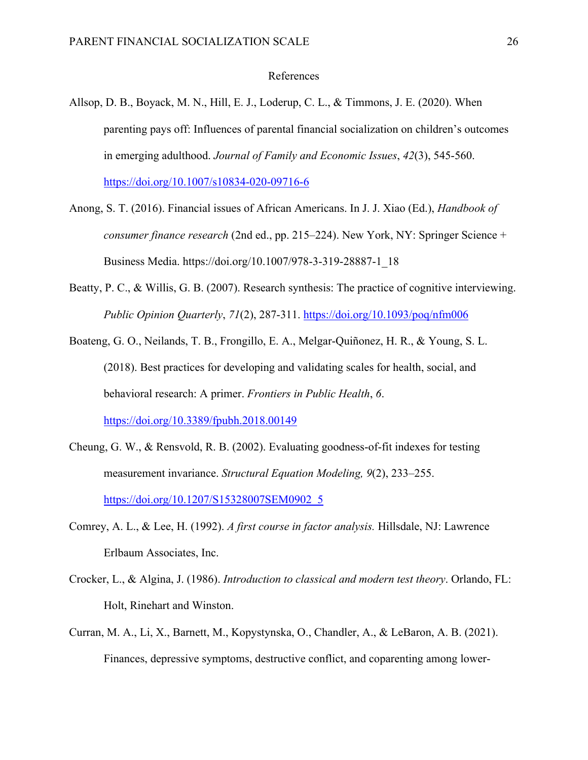# References

- Allsop, D. B., Boyack, M. N., Hill, E. J., Loderup, C. L., & Timmons, J. E. (2020). When parenting pays off: Influences of parental financial socialization on children's outcomes in emerging adulthood. *Journal of Family and Economic Issues*, *42*(3), 545-560. <https://doi.org/10.1007/s10834-020-09716-6>
- Anong, S. T. (2016). Financial issues of African Americans. In J. J. Xiao (Ed.), *Handbook of consumer finance research* (2nd ed., pp. 215–224). New York, NY: Springer Science + Business Media. https://doi.org/10.1007/978-3-319-28887-1\_18
- Beatty, P. C., & Willis, G. B. (2007). Research synthesis: The practice of cognitive interviewing. *Public Opinion Quarterly*, *71*(2), 287-311. <https://doi.org/10.1093/poq/nfm006>
- Boateng, G. O., Neilands, T. B., Frongillo, E. A., Melgar-Quiñonez, H. R., & Young, S. L. (2018). Best practices for developing and validating scales for health, social, and behavioral research: A primer. *Frontiers in Public Health*, *6*. <https://doi.org/10.3389/fpubh.2018.00149>
- Cheung, G. W., & Rensvold, R. B. (2002). Evaluating goodness-of-fit indexes for testing measurement invariance. *Structural Equation Modeling, 9*(2), 233–255. [https://doi.org/10.1207/S15328007SEM0902\\_5](https://doi.org/10.1207/S15328007SEM0902_5)
- Comrey, A. L., & Lee, H. (1992). *A first course in factor analysis.* Hillsdale, NJ: Lawrence Erlbaum Associates, Inc.
- Crocker, L., & Algina, J. (1986). *Introduction to classical and modern test theory*. Orlando, FL: Holt, Rinehart and Winston.
- Curran, M. A., Li, X., Barnett, M., Kopystynska, O., Chandler, A., & LeBaron, A. B. (2021). Finances, depressive symptoms, destructive conflict, and coparenting among lower-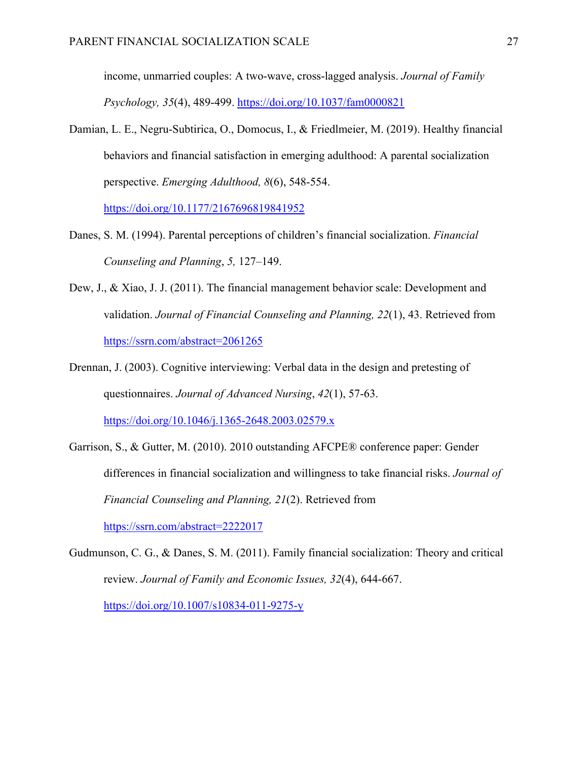income, unmarried couples: A two-wave, cross-lagged analysis. *Journal of Family Psychology, 35*(4), 489-499. <https://doi.org/10.1037/fam0000821>

Damian, L. E., Negru-Subtirica, O., Domocus, I., & Friedlmeier, M. (2019). Healthy financial behaviors and financial satisfaction in emerging adulthood: A parental socialization perspective. *Emerging Adulthood, 8*(6), 548-554.

<https://doi.org/10.1177/2167696819841952>

- Danes, S. M. (1994). Parental perceptions of children's financial socialization. *Financial Counseling and Planning*, *5,* 127–149.
- Dew, J., & Xiao, J. J. (2011). The financial management behavior scale: Development and validation. *Journal of Financial Counseling and Planning, 22*(1), 43. Retrieved from <https://ssrn.com/abstract=2061265>
- Drennan, J. (2003). Cognitive interviewing: Verbal data in the design and pretesting of questionnaires. *Journal of Advanced Nursing*, *42*(1), 57-63. <https://doi.org/10.1046/j.1365-2648.2003.02579.x>
- Garrison, S., & Gutter, M. (2010). 2010 outstanding AFCPE® conference paper: Gender differences in financial socialization and willingness to take financial risks. *Journal of Financial Counseling and Planning, 21*(2). Retrieved from <https://ssrn.com/abstract=2222017>
- Gudmunson, C. G., & Danes, S. M. (2011). Family financial socialization: Theory and critical review. *Journal of Family and Economic Issues, 32*(4), 644-667.

<https://doi.org/10.1007/s10834-011-9275-y>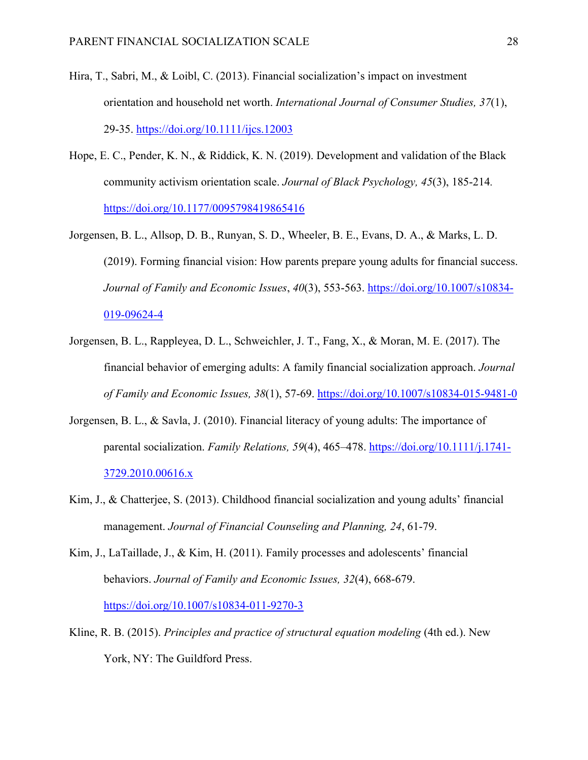- Hira, T., Sabri, M., & Loibl, C. (2013). Financial socialization's impact on investment orientation and household net worth. *International Journal of Consumer Studies, 37*(1), 29-35. <https://doi.org/10.1111/ijcs.12003>
- Hope, E. C., Pender, K. N., & Riddick, K. N. (2019). Development and validation of the Black community activism orientation scale. *Journal of Black Psychology, 45*(3), 185-214*.*  <https://doi.org/10.1177/0095798419865416>
- Jorgensen, B. L., Allsop, D. B., Runyan, S. D., Wheeler, B. E., Evans, D. A., & Marks, L. D. (2019). Forming financial vision: How parents prepare young adults for financial success. *Journal of Family and Economic Issues*, *40*(3), 553-563. [https://doi.org/10.1007/s10834-](https://doi.org/10.1007/s10834-019-09624-4) [019-09624-4](https://doi.org/10.1007/s10834-019-09624-4)
- Jorgensen, B. L., Rappleyea, D. L., Schweichler, J. T., Fang, X., & Moran, M. E. (2017). The financial behavior of emerging adults: A family financial socialization approach. *Journal of Family and Economic Issues, 38*(1), 57-69.<https://doi.org/10.1007/s10834-015-9481-0>
- Jorgensen, B. L., & Savla, J. (2010). Financial literacy of young adults: The importance of parental socialization. *Family Relations, 59*(4), 465–478. [https://doi.org/10.1111/j.1741-](https://doi.org/10.1111/j.1741-3729.2010.00616.x) [3729.2010.00616.x](https://doi.org/10.1111/j.1741-3729.2010.00616.x)
- Kim, J., & Chatterjee, S. (2013). Childhood financial socialization and young adults' financial management. *Journal of Financial Counseling and Planning, 24*, 61-79.
- Kim, J., LaTaillade, J., & Kim, H. (2011). Family processes and adolescents' financial behaviors. *Journal of Family and Economic Issues, 32*(4), 668-679. <https://doi.org/10.1007/s10834-011-9270-3>
- Kline, R. B. (2015). *Principles and practice of structural equation modeling* (4th ed.). New York, NY: The Guildford Press.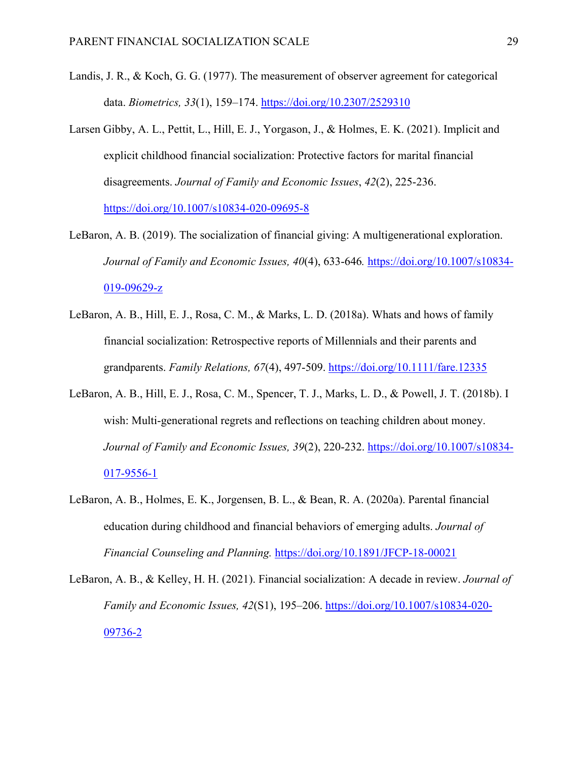- Landis, J. R., & Koch, G. G. (1977). The measurement of observer agreement for categorical data. *Biometrics, 33*(1), 159–174.<https://doi.org/10.2307/2529310>
- Larsen Gibby, A. L., Pettit, L., Hill, E. J., Yorgason, J., & Holmes, E. K. (2021). Implicit and explicit childhood financial socialization: Protective factors for marital financial disagreements. *Journal of Family and Economic Issues*, *42*(2), 225-236. <https://doi.org/10.1007/s10834-020-09695-8>
- LeBaron, A. B. (2019). The socialization of financial giving: A multigenerational exploration. *Journal of Family and Economic Issues, 40*(4), 633-646*.* [https://doi.org/10.1007/s10834-](https://doi.org/10.1007/s10834-019-09629-z) [019-09629-z](https://doi.org/10.1007/s10834-019-09629-z)
- LeBaron, A. B., Hill, E. J., Rosa, C. M., & Marks, L. D. (2018a). Whats and hows of family financial socialization: Retrospective reports of Millennials and their parents and grandparents. *Family Relations, 67*(4), 497-509.<https://doi.org/10.1111/fare.12335>
- LeBaron, A. B., Hill, E. J., Rosa, C. M., Spencer, T. J., Marks, L. D., & Powell, J. T. (2018b). I wish: Multi-generational regrets and reflections on teaching children about money. *Journal of Family and Economic Issues, 39*(2), 220-232. [https://doi.org/10.1007/s10834-](https://doi.org/10.1007/s10834-017-9556-1) [017-9556-1](https://doi.org/10.1007/s10834-017-9556-1)
- LeBaron, A. B., Holmes, E. K., Jorgensen, B. L., & Bean, R. A. (2020a). Parental financial education during childhood and financial behaviors of emerging adults. *Journal of Financial Counseling and Planning.* <https://doi.org/10.1891/JFCP-18-00021>
- LeBaron, A. B., & Kelley, H. H. (2021). Financial socialization: A decade in review. *Journal of Family and Economic Issues, 42*(S1), 195–206. [https://doi.org/10.1007/s10834-020-](https://doi.org/10.1007/s10834-020-09736-2) [09736-2](https://doi.org/10.1007/s10834-020-09736-2)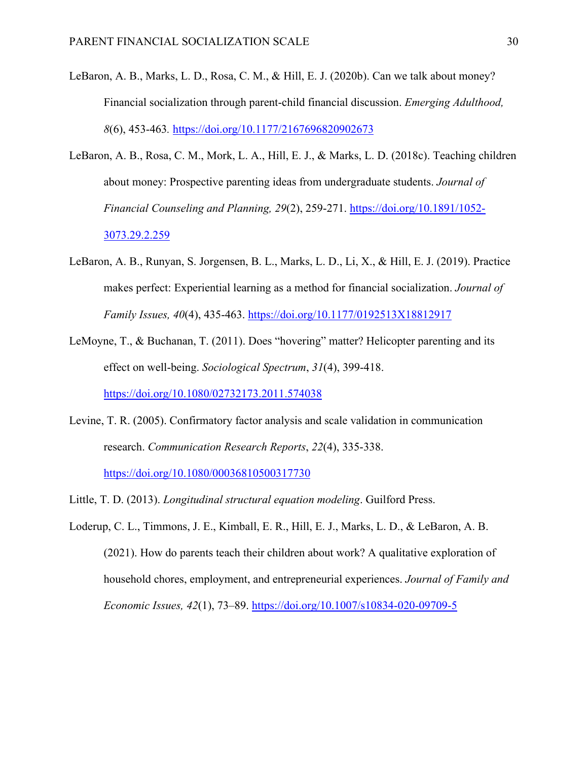- LeBaron, A. B., Marks, L. D., Rosa, C. M., & Hill, E. J. (2020b). Can we talk about money? Financial socialization through parent-child financial discussion. *Emerging Adulthood, 8*(6), 453-463*.* <https://doi.org/10.1177/2167696820902673>
- LeBaron, A. B., Rosa, C. M., Mork, L. A., Hill, E. J., & Marks, L. D. (2018c). Teaching children about money: Prospective parenting ideas from undergraduate students. *Journal of Financial Counseling and Planning, 29*(2), 259-271. [https://doi.org/10.1891/1052-](https://doi.org/10.1891/1052-3073.29.2.259) [3073.29.2.259](https://doi.org/10.1891/1052-3073.29.2.259)
- LeBaron, A. B., Runyan, S. Jorgensen, B. L., Marks, L. D., Li, X., & Hill, E. J. (2019). Practice makes perfect: Experiential learning as a method for financial socialization. *Journal of Family Issues, 40*(4), 435-463.<https://doi.org/10.1177/0192513X18812917>
- LeMoyne, T., & Buchanan, T. (2011). Does "hovering" matter? Helicopter parenting and its effect on well-being. *Sociological Spectrum*, *31*(4), 399-418.

<https://doi.org/10.1080/02732173.2011.574038>

Levine, T. R. (2005). Confirmatory factor analysis and scale validation in communication research. *Communication Research Reports*, *22*(4), 335-338.

<https://doi.org/10.1080/00036810500317730>

- Little, T. D. (2013). *Longitudinal structural equation modeling*. Guilford Press.
- Loderup, C. L., Timmons, J. E., Kimball, E. R., Hill, E. J., Marks, L. D., & LeBaron, A. B. (2021). How do parents teach their children about work? A qualitative exploration of household chores, employment, and entrepreneurial experiences. *Journal of Family and Economic Issues, 42*(1), 73–89.<https://doi.org/10.1007/s10834-020-09709-5>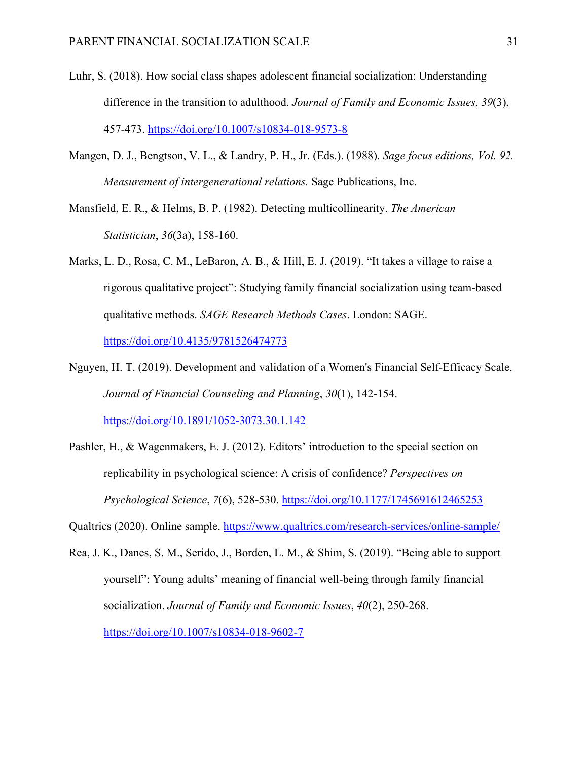- Luhr, S. (2018). How social class shapes adolescent financial socialization: Understanding difference in the transition to adulthood. *Journal of Family and Economic Issues, 39*(3), 457-473. <https://doi.org/10.1007/s10834-018-9573-8>
- Mangen, D. J., Bengtson, V. L., & Landry, P. H., Jr. (Eds.). (1988). *Sage focus editions, Vol. 92. Measurement of intergenerational relations.* Sage Publications, Inc.
- Mansfield, E. R., & Helms, B. P. (1982). Detecting multicollinearity. *The American Statistician*, *36*(3a), 158-160.
- Marks, L. D., Rosa, C. M., LeBaron, A. B., & Hill, E. J. (2019). "It takes a village to raise a rigorous qualitative project": Studying family financial socialization using team-based qualitative methods. *SAGE Research Methods Cases*. London: SAGE. <https://doi.org/10.4135/9781526474773>
- Nguyen, H. T. (2019). Development and validation of a Women's Financial Self-Efficacy Scale. *Journal of Financial Counseling and Planning*, *30*(1), 142-154. <https://doi.org/10.1891/1052-3073.30.1.142>
- Pashler, H., & Wagenmakers, E. J. (2012). Editors' introduction to the special section on replicability in psychological science: A crisis of confidence? *Perspectives on Psychological Science*, *7*(6), 528-530.<https://doi.org/10.1177/1745691612465253>
- Qualtrics (2020). Online sample. <https://www.qualtrics.com/research-services/online-sample/>
- Rea, J. K., Danes, S. M., Serido, J., Borden, L. M., & Shim, S. (2019). "Being able to support yourself": Young adults' meaning of financial well-being through family financial socialization. *Journal of Family and Economic Issues*, *40*(2), 250-268. <https://doi.org/10.1007/s10834-018-9602-7>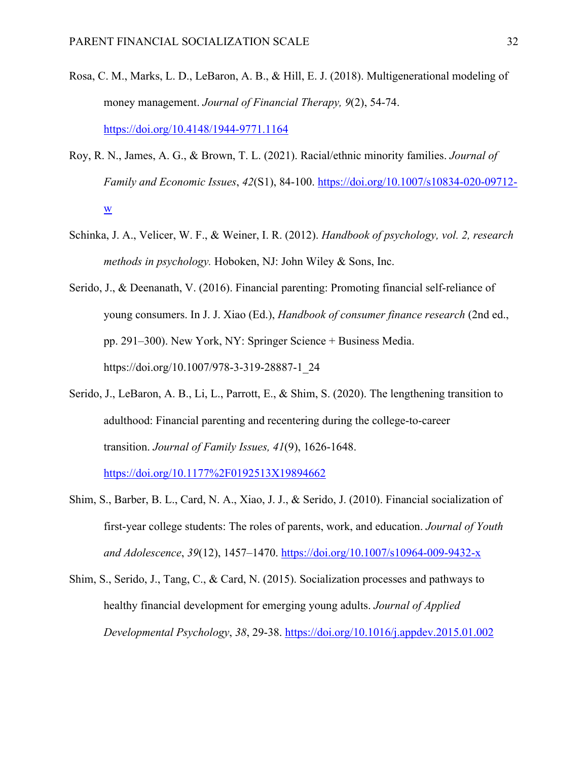- Rosa, C. M., Marks, L. D., LeBaron, A. B., & Hill, E. J. (2018). Multigenerational modeling of money management. *Journal of Financial Therapy, 9*(2), 54-74. <https://doi.org/10.4148/1944-9771.1164>
- Roy, R. N., James, A. G., & Brown, T. L. (2021). Racial/ethnic minority families. *Journal of Family and Economic Issues*, *42*(S1), 84-100. [https://doi.org/10.1007/s10834-020-09712](https://doi.org/10.1007/s10834-020-09712-w) [w](https://doi.org/10.1007/s10834-020-09712-w)
- Schinka, J. A., Velicer, W. F., & Weiner, I. R. (2012). *Handbook of psychology, vol. 2, research methods in psychology.* Hoboken, NJ: John Wiley & Sons, Inc.
- Serido, J., & Deenanath, V. (2016). Financial parenting: Promoting financial self-reliance of young consumers. In J. J. Xiao (Ed.), *Handbook of consumer finance research* (2nd ed., pp. 291–300). New York, NY: Springer Science + Business Media. https://doi.org/10.1007/978-3-319-28887-1\_24
- Serido, J., LeBaron, A. B., Li, L., Parrott, E., & Shim, S. (2020). The lengthening transition to adulthood: Financial parenting and recentering during the college-to-career transition. *Journal of Family Issues, 41*(9), 1626-1648.

<https://doi.org/10.1177%2F0192513X19894662>

- Shim, S., Barber, B. L., Card, N. A., Xiao, J. J., & Serido, J. (2010). Financial socialization of first-year college students: The roles of parents, work, and education. *Journal of Youth and Adolescence*, *39*(12), 1457–1470.<https://doi.org/10.1007/s10964-009-9432-x>
- Shim, S., Serido, J., Tang, C., & Card, N. (2015). Socialization processes and pathways to healthy financial development for emerging young adults. *Journal of Applied Developmental Psychology*, *38*, 29-38. <https://doi.org/10.1016/j.appdev.2015.01.002>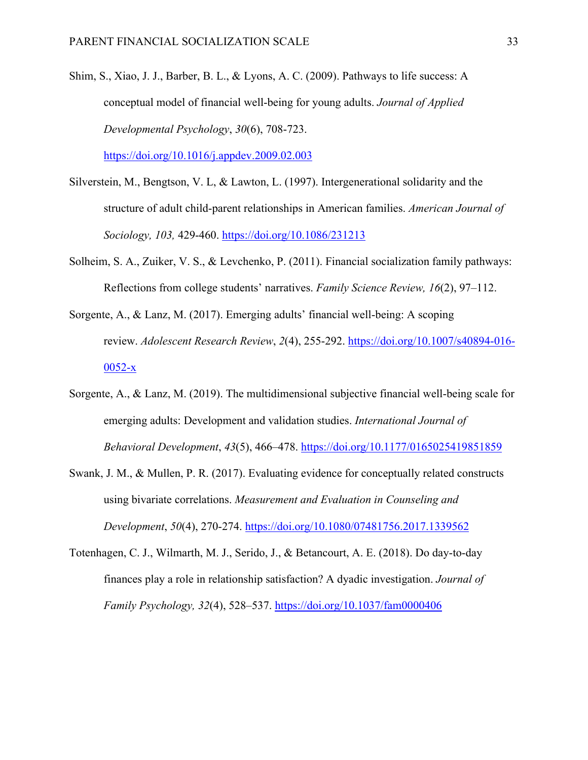Shim, S., Xiao, J. J., Barber, B. L., & Lyons, A. C. (2009). Pathways to life success: A conceptual model of financial well-being for young adults. *Journal of Applied Developmental Psychology*, *30*(6), 708-723.

<https://doi.org/10.1016/j.appdev.2009.02.003>

- Silverstein, M., Bengtson, V. L, & Lawton, L. (1997). Intergenerational solidarity and the structure of adult child-parent relationships in American families. *American Journal of Sociology, 103,* 429-460. <https://doi.org/10.1086/231213>
- Solheim, S. A., Zuiker, V. S., & Levchenko, P. (2011). Financial socialization family pathways: Reflections from college students' narratives. *Family Science Review, 16*(2), 97–112.
- Sorgente, A., & Lanz, M. (2017). Emerging adults' financial well-being: A scoping review. *Adolescent Research Review*, *2*(4), 255-292. [https://doi.org/10.1007/s40894-016-](https://doi.org/10.1007/s40894-016-0052-x) [0052-x](https://doi.org/10.1007/s40894-016-0052-x)
- Sorgente, A., & Lanz, M. (2019). The multidimensional subjective financial well-being scale for emerging adults: Development and validation studies. *International Journal of Behavioral Development*, *43*(5), 466–478.<https://doi.org/10.1177/0165025419851859>
- Swank, J. M., & Mullen, P. R. (2017). Evaluating evidence for conceptually related constructs using bivariate correlations. *Measurement and Evaluation in Counseling and Development*, *50*(4), 270-274. <https://doi.org/10.1080/07481756.2017.1339562>
- Totenhagen, C. J., Wilmarth, M. J., Serido, J., & Betancourt, A. E. (2018). Do day-to-day finances play a role in relationship satisfaction? A dyadic investigation. *Journal of Family Psychology, 32*(4), 528–537. [https://doi.org/10.1037/fam0000406](https://psycnet.apa.org/doi/10.1037/fam0000406)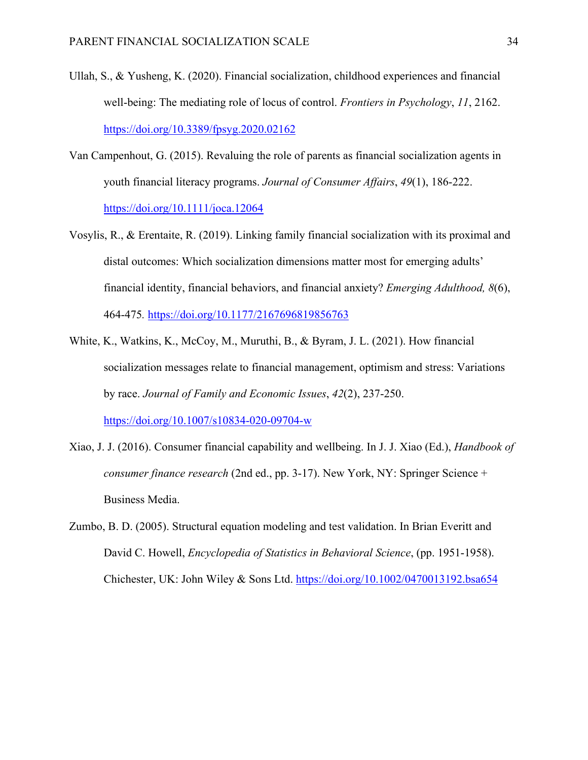- Ullah, S., & Yusheng, K. (2020). Financial socialization, childhood experiences and financial well-being: The mediating role of locus of control. *Frontiers in Psychology*, *11*, 2162. <https://doi.org/10.3389/fpsyg.2020.02162>
- Van Campenhout, G. (2015). Revaluing the role of parents as financial socialization agents in youth financial literacy programs. *Journal of Consumer Affairs*, *49*(1), 186-222. <https://doi.org/10.1111/joca.12064>
- Vosylis, R., & Erentaite, R. (2019). Linking family financial socialization with its proximal and distal outcomes: Which socialization dimensions matter most for emerging adults' financial identity, financial behaviors, and financial anxiety? *Emerging Adulthood, 8*(6), 464-475*.* <https://doi.org/10.1177/2167696819856763>
- White, K., Watkins, K., McCoy, M., Muruthi, B., & Byram, J. L. (2021). How financial socialization messages relate to financial management, optimism and stress: Variations by race. *Journal of Family and Economic Issues*, *42*(2), 237-250. <https://doi.org/10.1007/s10834-020-09704-w>
- Xiao, J. J. (2016). Consumer financial capability and wellbeing. In J. J. Xiao (Ed.), *Handbook of consumer finance research* (2nd ed., pp. 3-17). New York, NY: Springer Science + Business Media.
- Zumbo, B. D. (2005). Structural equation modeling and test validation. In Brian Everitt and David C. Howell, *Encyclopedia of Statistics in Behavioral Science*, (pp. 1951-1958). Chichester, UK: John Wiley & Sons Ltd. <https://doi.org/10.1002/0470013192.bsa654>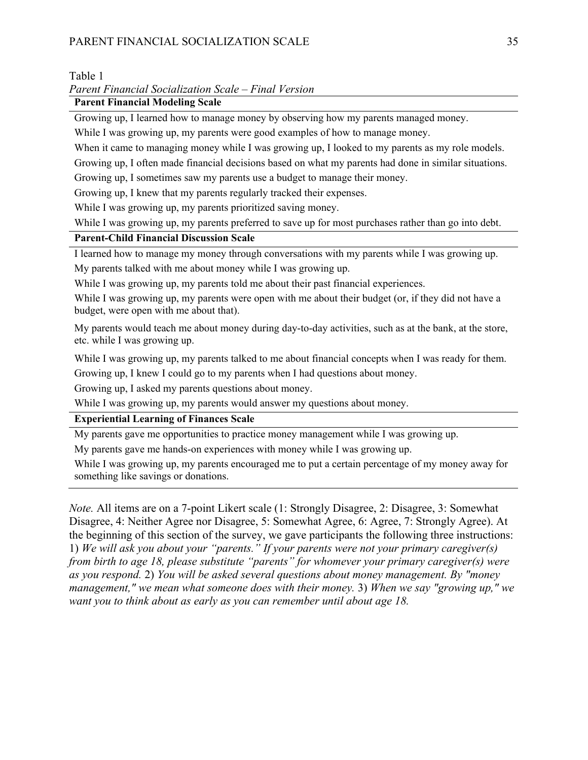# PARENT FINANCIAL SOCIALIZATION SCALE 35

# Table 1

# *Parent Financial Socialization Scale – Final Version*

# **Parent Financial Modeling Scale**

Growing up, I learned how to manage money by observing how my parents managed money.

While I was growing up, my parents were good examples of how to manage money.

When it came to managing money while I was growing up, I looked to my parents as my role models.

Growing up, I often made financial decisions based on what my parents had done in similar situations.

Growing up, I sometimes saw my parents use a budget to manage their money.

Growing up, I knew that my parents regularly tracked their expenses.

While I was growing up, my parents prioritized saving money.

While I was growing up, my parents preferred to save up for most purchases rather than go into debt.

# **Parent-Child Financial Discussion Scale**

I learned how to manage my money through conversations with my parents while I was growing up.

My parents talked with me about money while I was growing up.

While I was growing up, my parents told me about their past financial experiences.

While I was growing up, my parents were open with me about their budget (or, if they did not have a budget, were open with me about that).

My parents would teach me about money during day-to-day activities, such as at the bank, at the store, etc. while I was growing up.

While I was growing up, my parents talked to me about financial concepts when I was ready for them.

Growing up, I knew I could go to my parents when I had questions about money.

Growing up, I asked my parents questions about money.

While I was growing up, my parents would answer my questions about money.

# **Experiential Learning of Finances Scale**

My parents gave me opportunities to practice money management while I was growing up.

My parents gave me hands-on experiences with money while I was growing up.

While I was growing up, my parents encouraged me to put a certain percentage of my money away for something like savings or donations.

*Note.* All items are on a 7-point Likert scale (1: Strongly Disagree, 2: Disagree, 3: Somewhat Disagree, 4: Neither Agree nor Disagree, 5: Somewhat Agree, 6: Agree, 7: Strongly Agree). At the beginning of this section of the survey, we gave participants the following three instructions: 1) *We will ask you about your "parents." If your parents were not your primary caregiver(s) from birth to age 18, please substitute "parents" for whomever your primary caregiver(s) were as you respond.* 2) *You will be asked several questions about money management. By "money management," we mean what someone does with their money.* 3) *When we say "growing up," we want you to think about as early as you can remember until about age 18.*